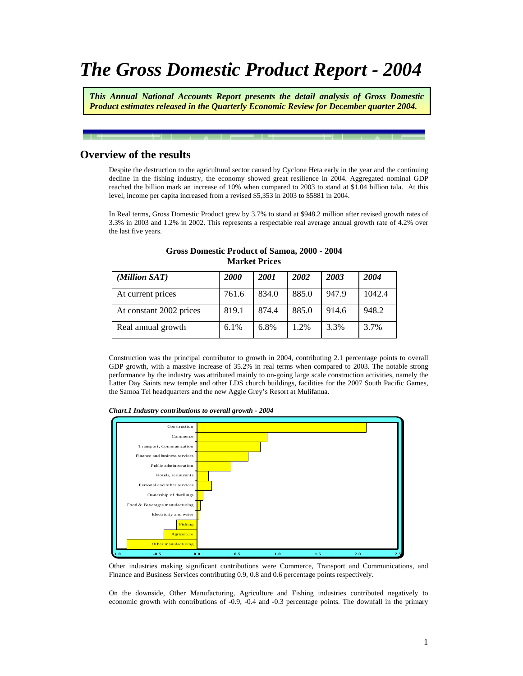# *The Gross Domestic Product Report - 2004*

*This Annual National Accounts Report presents the detail analysis of Gross Domestic Product estimates released in the Quarterly Economic Review for December quarter 2004.* 

# **Overview of the results**

Despite the destruction to the agricultural sector caused by Cyclone Heta early in the year and the continuing decline in the fishing industry, the economy showed great resilience in 2004. Aggregated nominal GDP reached the billion mark an increase of 10% when compared to 2003 to stand at \$1.04 billion tala. At this level, income per capita increased from a revised \$5,353 in 2003 to \$5881 in 2004.

In Real terms, Gross Domestic Product grew by 3.7% to stand at \$948.2 million after revised growth rates of 3.3% in 2003 and 1.2% in 2002. This represents a respectable real average annual growth rate of 4.2% over the last five years.

| (Million SAT)           | <i>2000</i> | <b>2001</b> | 2002  | 2003  | 2004   |
|-------------------------|-------------|-------------|-------|-------|--------|
| At current prices       | 761.6       | 834.0       | 885.0 | 947.9 | 1042.4 |
| At constant 2002 prices | 819.1       | 874.4       | 885.0 | 914.6 | 948.2  |
| Real annual growth      | $6.1\%$     | 6.8%        | 1.2%  | 3.3%  | 3.7%   |

#### **Gross Domestic Product of Samoa, 2000 - 2004 Market Prices**

Construction was the principal contributor to growth in 2004, contributing 2.1 percentage points to overall GDP growth, with a massive increase of 35.2% in real terms when compared to 2003. The notable strong performance by the industry was attributed mainly to on-going large scale construction activities, namely the Latter Day Saints new temple and other LDS church buildings, facilities for the 2007 South Pacific Games, the Samoa Tel headquarters and the new Aggie Grey's Resort at Mulifanua.





Other industries making significant contributions were Commerce, Transport and Communications, and Finance and Business Services contributing 0.9, 0.8 and 0.6 percentage points respectively.

On the downside, Other Manufacturing, Agriculture and Fishing industries contributed negatively to economic growth with contributions of -0.9, -0.4 and -0.3 percentage points. The downfall in the primary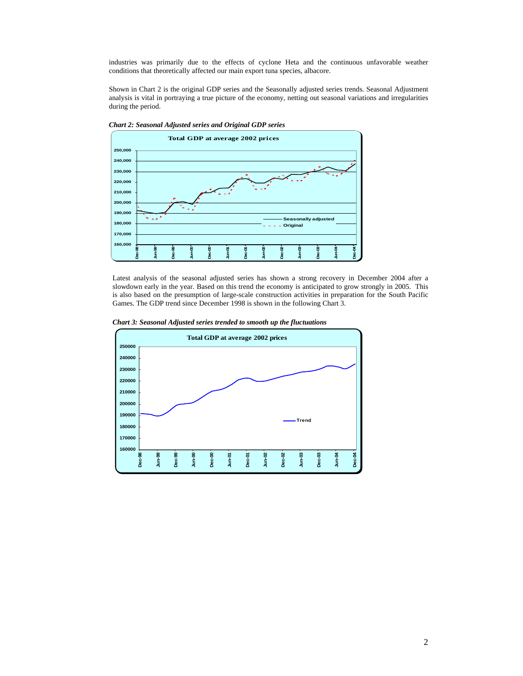industries was primarily due to the effects of cyclone Heta and the continuous unfavorable weather conditions that theoretically affected our main export tuna species, albacore.

Shown in Chart 2 is the original GDP series and the Seasonally adjusted series trends. Seasonal Adjustment analysis is vital in portraying a true picture of the economy, netting out seasonal variations and irregularities during the period.



*Chart 2: Seasonal Adjusted series and Original GDP series* 

Latest analysis of the seasonal adjusted series has shown a strong recovery in December 2004 after a slowdown early in the year. Based on this trend the economy is anticipated to grow strongly in 2005. This is also based on the presumption of large-scale construction activities in preparation for the South Pacific Games. The GDP trend since December 1998 is shown in the following Chart 3.

*Chart 3: Seasonal Adjusted series trended to smooth up the fluctuations* 

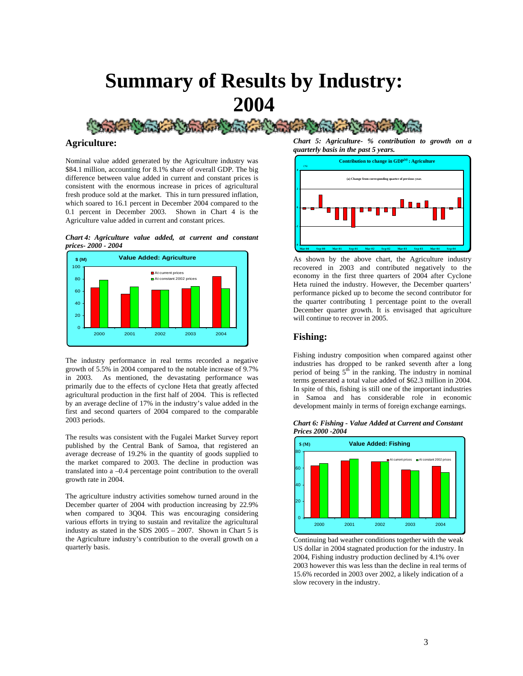

**Agriculture:** 

Nominal value added generated by the Agriculture industry was \$84.1 million, accounting for 8.1% share of overall GDP. The big difference between value added in current and constant prices is consistent with the enormous increase in prices of agricultural fresh produce sold at the market. This in turn pressured inflation, which soared to 16.1 percent in December 2004 compared to the 0.1 percent in December 2003. Shown in Chart 4 is the Agriculture value added in current and constant prices.

*Chart 4: Agriculture value added, at current and constant prices- 2000 - 2004* 



The industry performance in real terms recorded a negative growth of 5.5% in 2004 compared to the notable increase of 9.7% in 2003. As mentioned, the devastating performance was primarily due to the effects of cyclone Heta that greatly affected agricultural production in the first half of 2004. This is reflected by an average decline of 17% in the industry's value added in the first and second quarters of 2004 compared to the comparable 2003 periods.

The results was consistent with the Fugalei Market Survey report published by the Central Bank of Samoa, that registered an average decrease of 19.2% in the quantity of goods supplied to the market compared to 2003. The decline in production was translated into a –0.4 percentage point contribution to the overall growth rate in 2004.

The agriculture industry activities somehow turned around in the December quarter of 2004 with production increasing by 22.9% when compared to 3Q04. This was encouraging considering various efforts in trying to sustain and revitalize the agricultural industry as stated in the SDS 2005 – 2007. Shown in Chart 5 is the Agriculture industry's contribution to the overall growth on a quarterly basis.

*Chart 5: Agriculture- % contribution to growth on a quarterly basis in the past 5 years.* 



As shown by the above chart, the Agriculture industry recovered in 2003 and contributed negatively to the economy in the first three quarters of 2004 after Cyclone Heta ruined the industry. However, the December quarters' performance picked up to become the second contributor for the quarter contributing 1 percentage point to the overall December quarter growth. It is envisaged that agriculture will continue to recover in 2005.

## **Fishing:**

Fishing industry composition when compared against other industries has dropped to be ranked seventh after a long period of being  $5<sup>th</sup>$  in the ranking. The industry in nominal terms generated a total value added of \$62.3 million in 2004. In spite of this, fishing is still one of the important industries in Samoa and has considerable role in economic development mainly in terms of foreign exchange earnings.

*Chart 6: Fishing - Value Added at Current and Constant Prices 2000 -2004*



Continuing bad weather conditions together with the weak US dollar in 2004 stagnated production for the industry. In 2004, Fishing industry production declined by 4.1% over 2003 however this was less than the decline in real terms of 15.6% recorded in 2003 over 2002, a likely indication of a slow recovery in the industry.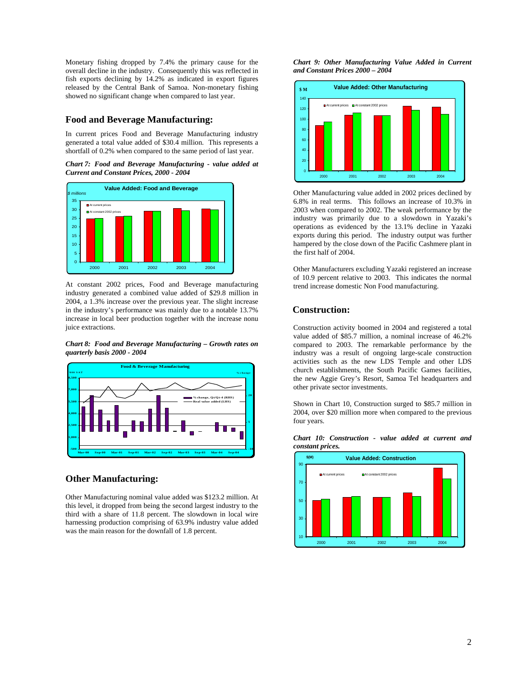Monetary fishing dropped by 7.4% the primary cause for the overall decline in the industry. Consequently this was reflected in fish exports declining by 14.2% as indicated in export figures released by the Central Bank of Samoa. Non-monetary fishing showed no significant change when compared to last year.

## **Food and Beverage Manufacturing:**

In current prices Food and Beverage Manufacturing industry generated a total value added of \$30.4 million. This represents a shortfall of 0.2% when compared to the same period of last year.

*Chart 7: Food and Beverage Manufacturing - value added at Current and Constant Prices, 2000 - 2004* 



At constant 2002 prices, Food and Beverage manufacturing industry generated a combined value added of \$29.8 million in 2004, a 1.3% increase over the previous year. The slight increase in the industry's performance was mainly due to a notable 13.7% increase in local beer production together with the increase nonu juice extractions.

*Chart 8: Food and Beverage Manufacturing – Growth rates on quarterly basis 2000 - 2004* 



## **Other Manufacturing:**

Other Manufacturing nominal value added was \$123.2 million. At this level, it dropped from being the second largest industry to the third with a share of 11.8 percent. The slowdown in local wire harnessing production comprising of 63.9% industry value added was the main reason for the downfall of 1.8 percent.

*Chart 9: Other Manufacturing Value Added in Current and Constant Prices 2000 – 2004* 



Other Manufacturing value added in 2002 prices declined by 6.8% in real terms. This follows an increase of 10.3% in 2003 when compared to 2002. The weak performance by the industry was primarily due to a slowdown in Yazaki's operations as evidenced by the 13.1% decline in Yazaki exports during this period. The industry output was further hampered by the close down of the Pacific Cashmere plant in the first half of 2004.

Other Manufacturers excluding Yazaki registered an increase of 10.9 percent relative to 2003. This indicates the normal trend increase domestic Non Food manufacturing.

## **Construction:**

Construction activity boomed in 2004 and registered a total value added of \$85.7 million, a nominal increase of 46.2% compared to 2003. The remarkable performance by the industry was a result of ongoing large-scale construction activities such as the new LDS Temple and other LDS church establishments, the South Pacific Games facilities, the new Aggie Grey's Resort, Samoa Tel headquarters and other private sector investments.

Shown in Chart 10, Construction surged to \$85.7 million in 2004, over \$20 million more when compared to the previous four years.



#### *Chart 10: Construction - value added at current and constant prices.*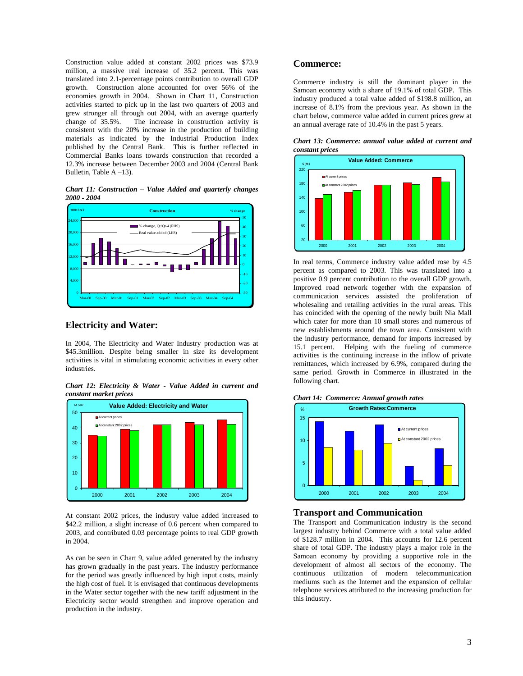Construction value added at constant 2002 prices was \$73.9 million, a massive real increase of 35.2 percent. This was translated into 2.1-percentage points contribution to overall GDP growth. Construction alone accounted for over 56% of the economies growth in 2004. Shown in Chart 11, Construction activities started to pick up in the last two quarters of 2003 and grew stronger all through out 2004, with an average quarterly change of 35.5%. The increase in construction activity is consistent with the 20% increase in the production of building materials as indicated by the Industrial Production Index published by the Central Bank. This is further reflected in Commercial Banks loans towards construction that recorded a 12.3% increase between December 2003 and 2004 (Central Bank Bulletin, Table A –13).

*Chart 11: Construction – Value Added and quarterly changes 2000 - 2004* 



#### **Electricity and Water:**

In 2004, The Electricity and Water Industry production was at \$45.3million. Despite being smaller in size its development activities is vital in stimulating economic activities in every other industries.

*Chart 12: Electricity & Water - Value Added in current and constant market prices* 



At constant 2002 prices, the industry value added increased to \$42.2 million, a slight increase of 0.6 percent when compared to 2003, and contributed 0.03 percentage points to real GDP growth in 2004.

As can be seen in Chart 9, value added generated by the industry has grown gradually in the past years. The industry performance for the period was greatly influenced by high input costs, mainly the high cost of fuel. It is envisaged that continuous developments in the Water sector together with the new tariff adjustment in the Electricity sector would strengthen and improve operation and production in the industry.

## **Commerce:**

Commerce industry is still the dominant player in the Samoan economy with a share of 19.1% of total GDP. This industry produced a total value added of \$198.8 million, an increase of 8.1% from the previous year. As shown in the chart below, commerce value added in current prices grew at an annual average rate of 10.4% in the past 5 years.

*Chart 13: Commerce: annual value added at current and constant prices* 



In real terms, Commerce industry value added rose by 4.5 percent as compared to 2003. This was translated into a positive 0.9 percent contribution to the overall GDP growth. Improved road network together with the expansion of communication services assisted the proliferation of wholesaling and retailing activities in the rural areas. This has coincided with the opening of the newly built Nia Mall which cater for more than 10 small stores and numerous of new establishments around the town area. Consistent with the industry performance, demand for imports increased by 15.1 percent. Helping with the fueling of commerce activities is the continuing increase in the inflow of private remittances, which increased by 6.9%, compared during the same period. Growth in Commerce in illustrated in the following chart.





## **Transport and Communication**

The Transport and Communication industry is the second largest industry behind Commerce with a total value added of \$128.7 million in 2004. This accounts for 12.6 percent share of total GDP. The industry plays a major role in the Samoan economy by providing a supportive role in the development of almost all sectors of the economy. The continuous utilization of modern telecommunication mediums such as the Internet and the expansion of cellular telephone services attributed to the increasing production for this industry.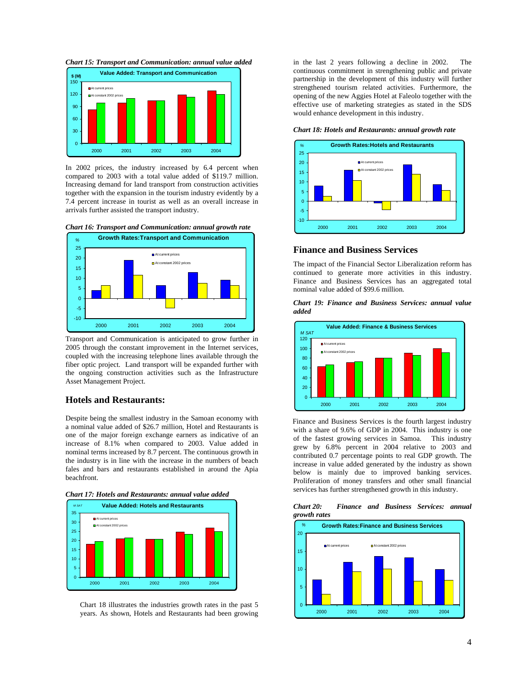



In 2002 prices, the industry increased by 6.4 percent when compared to 2003 with a total value added of \$119.7 million. Increasing demand for land transport from construction activities together with the expansion in the tourism industry evidently by a 7.4 percent increase in tourist as well as an overall increase in arrivals further assisted the transport industry.





Transport and Communication is anticipated to grow further in 2005 through the constant improvement in the Internet services, coupled with the increasing telephone lines available through the fiber optic project. Land transport will be expanded further with the ongoing construction activities such as the Infrastructure Asset Management Project.

#### **Hotels and Restaurants:**

Despite being the smallest industry in the Samoan economy with a nominal value added of \$26.7 million, Hotel and Restaurants is one of the major foreign exchange earners as indicative of an increase of 8.1% when compared to 2003. Value added in nominal terms increased by 8.7 percent. The continuous growth in the industry is in line with the increase in the numbers of beach fales and bars and restaurants established in around the Apia beachfront.





Chart 18 illustrates the industries growth rates in the past 5 years. As shown, Hotels and Restaurants had been growing in the last 2 years following a decline in 2002. The continuous commitment in strengthening public and private partnership in the development of this industry will further strengthened tourism related activities. Furthermore, the opening of the new Aggies Hotel at Faleolo together with the effective use of marketing strategies as stated in the SDS would enhance development in this industry.

#### *Chart 18: Hotels and Restaurants: annual growth rate*



#### **Finance and Business Services**

The impact of the Financial Sector Liberalization reform has continued to generate more activities in this industry. Finance and Business Services has an aggregated total nominal value added of \$99.6 million.

*Chart 19: Finance and Business Services: annual value added* 



Finance and Business Services is the fourth largest industry with a share of 9.6% of GDP in 2004. This industry is one of the fastest growing services in Samoa. This industry grew by 6.8% percent in 2004 relative to 2003 and contributed 0.7 percentage points to real GDP growth. The increase in value added generated by the industry as shown below is mainly due to improved banking services. Proliferation of money transfers and other small financial services has further strengthened growth in this industry.

*Chart 20: Finance and Business Services: annual growth rates* 

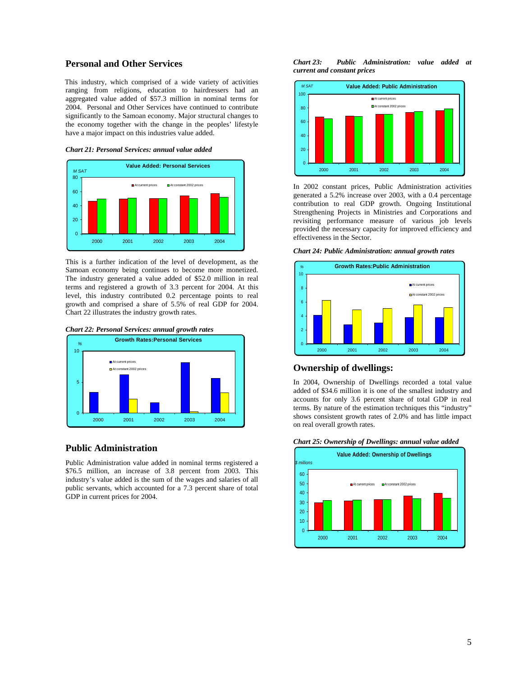## **Personal and Other Services**

This industry, which comprised of a wide variety of activities ranging from religions, education to hairdressers had an aggregated value added of \$57.3 million in nominal terms for 2004. Personal and Other Services have continued to contribute significantly to the Samoan economy. Major structural changes to the economy together with the change in the peoples' lifestyle have a major impact on this industries value added.





This is a further indication of the level of development, as the Samoan economy being continues to become more monetized. The industry generated a value added of \$52.0 million in real terms and registered a growth of 3.3 percent for 2004. At this level, this industry contributed 0.2 percentage points to real growth and comprised a share of 5.5% of real GDP for 2004. Chart 22 illustrates the industry growth rates.

*Chart 22: Personal Services: annual growth rates* 



#### **Public Administration**

Public Administration value added in nominal terms registered a \$76.5 million, an increase of 3.8 percent from 2003. This industry's value added is the sum of the wages and salaries of all public servants, which accounted for a 7.3 percent share of total GDP in current prices for 2004.

*Chart 23: Public Administration: value added at current and constant prices* 



In 2002 constant prices, Public Administration activities generated a 5.2% increase over 2003, with a 0.4 percentage contribution to real GDP growth. Ongoing Institutional Strengthening Projects in Ministries and Corporations and revisiting performance measure of various job levels provided the necessary capacity for improved efficiency and effectiveness in the Sector.

#### *Chart 24: Public Administration: annual growth rates*



#### **Ownership of dwellings:**

In 2004, Ownership of Dwellings recorded a total value added of \$34.6 million it is one of the smallest industry and accounts for only 3.6 percent share of total GDP in real terms. By nature of the estimation techniques this "industry" shows consistent growth rates of 2.0% and has little impact on real overall growth rates.



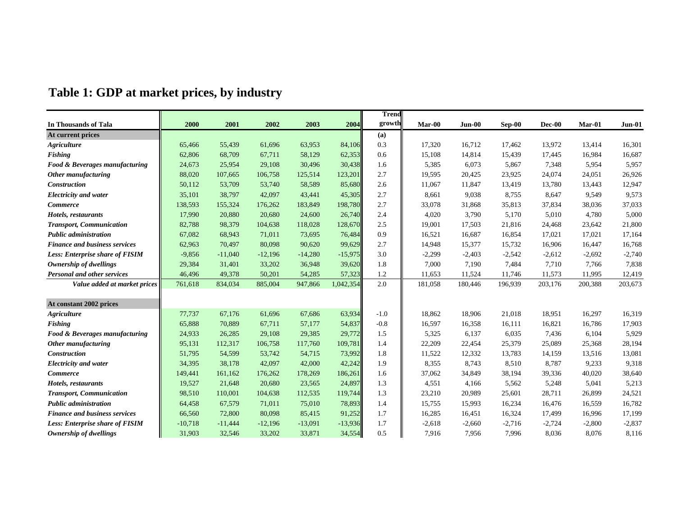|                                        |           |           |           |           |           | <b>Trend</b> |          |          |          |          |          |          |
|----------------------------------------|-----------|-----------|-----------|-----------|-----------|--------------|----------|----------|----------|----------|----------|----------|
| In Thousands of Tala                   | 2000      | 2001      | 2002      | 2003      | 2004      | growth       | Mar-00   | Jun-00   | Sep-00   | Dec-00   | Mar-01   | Jun-01   |
| At current prices                      |           |           |           |           |           | (a)          |          |          |          |          |          |          |
| <b>Agriculture</b>                     | 65,466    | 55,439    | 61,696    | 63,953    | 84,106    | 0.3          | 17,320   | 16,712   | 17,462   | 13,972   | 13,414   | 16,301   |
| <b>Fishing</b>                         | 62,806    | 68,709    | 67,711    | 58,129    | 62,353    | 0.6          | 15,108   | 14,814   | 15,439   | 17,445   | 16,984   | 16,687   |
| Food & Beverages manufacturing         | 24,673    | 25,954    | 29,108    | 30,496    | 30,438    | 1.6          | 5,385    | 6,073    | 5,867    | 7,348    | 5,954    | 5,957    |
| Other manufacturing                    | 88,020    | 107,665   | 106,758   | 125,514   | 123,201   | 2.7          | 19,595   | 20,425   | 23,925   | 24,074   | 24,051   | 26,926   |
| <b>Construction</b>                    | 50,112    | 53,709    | 53,740    | 58,589    | 85,680    | 2.6          | 11,067   | 11,847   | 13,419   | 13,780   | 13,443   | 12,947   |
| <b>Electricity and water</b>           | 35,101    | 38,797    | 42,097    | 43,441    | 45,305    | 2.7          | 8,661    | 9,038    | 8,755    | 8,647    | 9,549    | 9,573    |
| <b>Commerce</b>                        | 138,593   | 155,324   | 176,262   | 183,849   | 198,780   | 2.7          | 33,078   | 31,868   | 35,813   | 37,834   | 38,036   | 37,033   |
| Hotels, restaurants                    | 17,990    | 20,880    | 20,680    | 24,600    | 26,740    | 2.4          | 4,020    | 3,790    | 5,170    | 5,010    | 4,780    | 5,000    |
| <b>Transport, Communication</b>        | 82,788    | 98,379    | 104,638   | 118,028   | 128,670   | 2.5          | 19,001   | 17,503   | 21,816   | 24,468   | 23,642   | 21,800   |
| <b>Public administration</b>           | 67,082    | 68,943    | 71,011    | 73,695    | 76,484    | 0.9          | 16,521   | 16,687   | 16,854   | 17,021   | 17,021   | 17,164   |
| <b>Finance and business services</b>   | 62,963    | 70,497    | 80,098    | 90,620    | 99,629    | 2.7          | 14,948   | 15,377   | 15,732   | 16,906   | 16,447   | 16,768   |
| <b>Less: Enterprise share of FISIM</b> | $-9,856$  | $-11,040$ | $-12,196$ | $-14,280$ | $-15,975$ | 3.0          | $-2,299$ | $-2,403$ | $-2,542$ | $-2,612$ | $-2,692$ | $-2,740$ |
| Ownership of dwellings                 | 29,384    | 31,401    | 33,202    | 36,948    | 39,620    | 1.8          | 7,000    | 7,190    | 7,484    | 7,710    | 7,766    | 7,838    |
| <b>Personal and other services</b>     | 46,496    | 49,378    | 50,201    | 54,285    | 57,323    | 1.2          | 11,653   | 11,524   | 11,746   | 11,573   | 11,995   | 12,419   |
| Value added at market prices           | 761,618   | 834,034   | 885,004   | 947,866   | 1,042,354 | 2.0          | 181,058  | 180,446  | 196,939  | 203,176  | 200,388  | 203,673  |
|                                        |           |           |           |           |           |              |          |          |          |          |          |          |
| At constant 2002 prices                |           |           |           |           |           |              |          |          |          |          |          |          |
| <b>Agriculture</b>                     | 77,737    | 67,176    | 61.696    | 67,686    | 63,934    | $-1.0$       | 18.862   | 18,906   | 21,018   | 18,951   | 16,297   | 16,319   |
| <b>Fishing</b>                         | 65,888    | 70,889    | 67,711    | 57,177    | 54,837    | $-0.8$       | 16,597   | 16,358   | 16,111   | 16,821   | 16,786   | 17,903   |
| Food & Beverages manufacturing         | 24,933    | 26,285    | 29,108    | 29,385    | 29,772    | 1.5          | 5,325    | 6,137    | 6,035    | 7,436    | 6,104    | 5,929    |
| Other manufacturing                    | 95,131    | 112,317   | 106,758   | 117,760   | 109,781   | 1.4          | 22,209   | 22,454   | 25,379   | 25,089   | 25,368   | 28,194   |
| <b>Construction</b>                    | 51,795    | 54,599    | 53,742    | 54,715    | 73,992    | 1.8          | 11,522   | 12,332   | 13,783   | 14,159   | 13,516   | 13,081   |
| <b>Electricity and water</b>           | 34,395    | 38,178    | 42,097    | 42,000    | 42,242    | 1.9          | 8,355    | 8,743    | 8,510    | 8,787    | 9,233    | 9,318    |
| <b>Commerce</b>                        | 149,441   | 161,162   | 176,262   | 178,269   | 186,261   | 1.6          | 37,062   | 34,849   | 38,194   | 39,336   | 40,020   | 38,640   |
| Hotels, restaurants                    | 19,527    | 21,648    | 20,680    | 23,565    | 24,897    | 1.3          | 4,551    | 4,166    | 5,562    | 5,248    | 5,041    | 5,213    |
| <b>Transport, Communication</b>        | 98,510    | 110,001   | 104,638   | 112,535   | 119,744   | 1.3          | 23,210   | 20,989   | 25,601   | 28,711   | 26,899   | 24,521   |
| <b>Public administration</b>           | 64,458    | 67,579    | 71,011    | 75,010    | 78,893    | 1.4          | 15,755   | 15,993   | 16,234   | 16,476   | 16,559   | 16,782   |
| Finance and business services          | 66,560    | 72,800    | 80,098    | 85,415    | 91,252    | 1.7          | 16,285   | 16,451   | 16,324   | 17,499   | 16,996   | 17,199   |
| <b>Less: Enterprise share of FISIM</b> | $-10,718$ | $-11,444$ | $-12,196$ | $-13,091$ | $-13,936$ | 1.7          | $-2,618$ | $-2,660$ | $-2,716$ | $-2,724$ | $-2,800$ | $-2,837$ |
| Ownership of dwellings                 | 31,903    | 32,546    | 33,202    | 33,871    | 34,554    | 0.5          | 7,916    | 7,956    | 7,996    | 8,036    | 8,076    | 8,116    |

# **Table 1: GDP at market prices, by industry**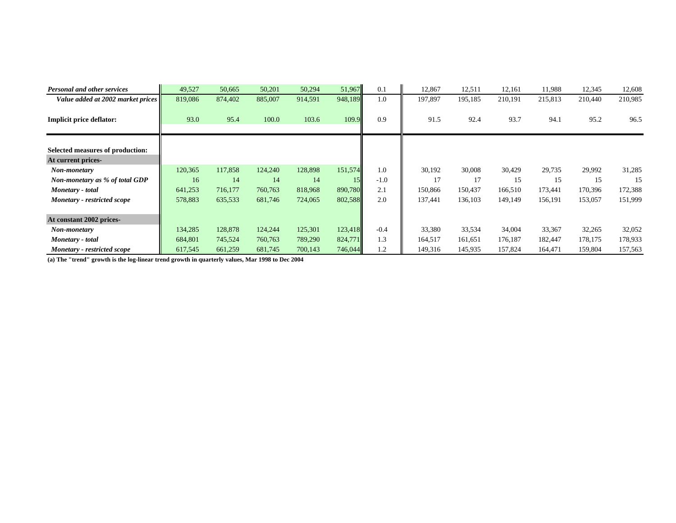| <b>Personal and other services</b>             | 49,527  | 50,665  | 50,201  | 50,294  | 51,967  | 0.1    | 12,867  | 12,511  | 12,161  | 11,988  | 12,345  | 12,608  |
|------------------------------------------------|---------|---------|---------|---------|---------|--------|---------|---------|---------|---------|---------|---------|
| Value added at 2002 market prices              | 819,086 | 874,402 | 885,007 | 914,591 | 948,189 | 1.0    | 197,897 | 195,185 | 210,191 | 215,813 | 210,440 | 210,985 |
| Implicit price deflator:                       | 93.0    | 95.4    | 100.0   | 103.6   | 109.9   | 0.9    | 91.5    | 92.4    | 93.7    | 94.1    | 95.2    | 96.5    |
| Selected measures of production:               |         |         |         |         |         |        |         |         |         |         |         |         |
| At current prices-                             | 120,365 | 117,858 | 124,240 | 128,898 | 151,574 | 1.0    | 30,192  | 30,008  | 30,429  | 29,735  | 29,992  | 31,285  |
| Non-monetary<br>Non-monetary as % of total GDP | 16      | 14      | 14      | 14      | 15      | $-1.0$ | 17      | 17      | 15      | 15      | 15      | 15      |
| Monetary - total                               | 641,253 | 716,177 | 760,763 | 818,968 | 890,780 | 2.1    | 150,866 | 150,437 | 166,510 | 173,441 | 170,396 | 172,388 |
| Monetary - restricted scope                    | 578,883 | 635,533 | 681,746 | 724,065 | 802,588 | 2.0    | 137,441 | 136,103 | 149,149 | 156,191 | 153,057 | 151,999 |
| At constant 2002 prices-                       |         |         |         |         |         |        |         |         |         |         |         |         |
| Non-monetary                                   | 134,285 | 128,878 | 124,244 | 125,301 | 123,418 | $-0.4$ | 33,380  | 33,534  | 34,004  | 33,367  | 32,265  | 32,052  |
| Monetary - total                               | 684,801 | 745,524 | 760,763 | 789,290 | 824,771 | 1.3    | 164,517 | 161,651 | 176,187 | 182,447 | 178,175 | 178,933 |
| Monetary - restricted scope                    | 617,545 | 661,259 | 681,745 | 700,143 | 746,044 | 1.2    | 149,316 | 145,935 | 157,824 | 164,471 | 159,804 | 157,563 |

**(a) The "trend" growth is the log-linear trend growth in quarterly values, Mar 1998 to Dec 2004**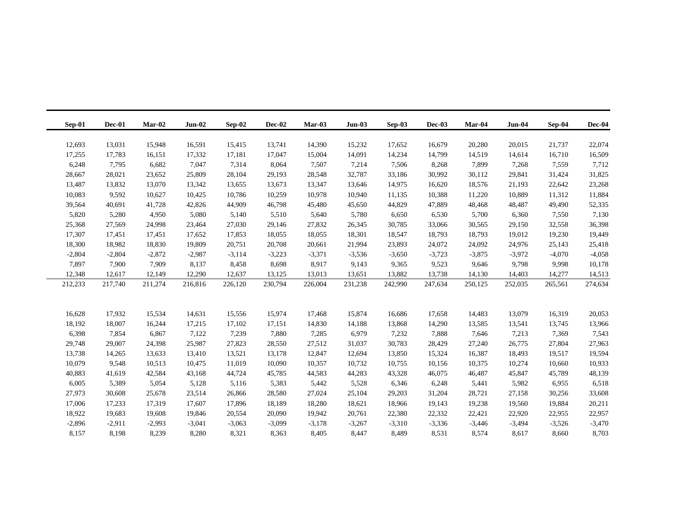| $Sep-01$ | $Dec-01$             | $Mar-02$ | $Jun-02$ | Sep-02   | Dec-02           | $Mar-03$ | $Jun-03$ | Sep-03             | $Dec-03$ | Mar-04   | <b>Jun-04</b> | Sep-04   | Dec-04           |
|----------|----------------------|----------|----------|----------|------------------|----------|----------|--------------------|----------|----------|---------------|----------|------------------|
|          |                      |          |          |          |                  |          |          |                    |          |          |               |          |                  |
| 12,693   | 13,031               | 15,948   | 16,591   | 15,415   | 13,741           | 14,390   | 15,232   | 17,652             | 16,679   | 20,280   | 20,015        | 21,737   | 22,074           |
| 17,255   | 17,783               | 16,151   | 17,332   | 17,181   | 17,047           | 15,004   | 14,091   | 14,234             | 14,799   | 14,519   | 14,614        | 16,710   | 16,509           |
|          | 6,248<br>7,795       | 6,682    | 7,047    | 7,314    | 8,064            | 7,507    | 7,214    | 7,506              | 8,268    | 7,899    | 7,268         | 7,559    | 7,712            |
| 28,667   | 28,021               | 23,652   | 25,809   | 28,104   | 29,193           | 28,548   | 32,787   | 33,186             | 30,992   | 30,112   | 29,841        | 31,424   | 31,825           |
| 13,487   | 13,832               | 13,070   | 13,342   | 13,655   | 13,673           | 13,347   | 13,646   | 14,975             | 16,620   | 18,576   | 21,193        | 22,642   | 23,268           |
| 10,083   | 9,592                | 10,627   | 10,425   | 10,786   | 10,259           | 10,978   | 10,940   | 11,135             | 10,388   | 11,220   | 10,889        | 11,312   | 11,884           |
| 39,564   | 40,691               | 41,728   | 42,826   | 44,909   | 46,798           | 45,480   | 45,650   | 44,829             | 47,889   | 48,468   | 48,487        | 49,490   | 52,335           |
|          | 5,820<br>5,280       | 4,950    | 5,080    | 5,140    | 5,510            | 5,640    | 5,780    | 6,650              | 6,530    | 5,700    | 6,360         | 7,550    | 7,130            |
| 25,368   | 27,569               | 24,998   | 23,464   | 27,030   | 29,146           | 27,832   | 26,345   | 30,785             | 33,066   | 30,565   | 29,150        | 32,558   | 36,398           |
| 17,307   | 17,451               | 17,451   | 17,652   | 17,853   | 18,055           | 18,055   | 18,301   | 18,547             | 18,793   | 18,793   | 19,012        | 19,230   | 19,449           |
| 18,300   | 18,982               | 18,830   | 19,809   | 20,751   | 20,708           | 20,661   | 21,994   | 23,893             | 24,072   | 24,092   | 24,976        | 25,143   | 25,418           |
|          | $-2,804$<br>$-2,804$ | $-2,872$ | $-2,987$ | $-3,114$ | $-3,223$         | $-3,371$ | $-3,536$ | $-3,650$           | $-3,723$ | $-3,875$ | $-3,972$      | $-4,070$ | $-4,058$         |
|          | 7,897<br>7,900       | 7,909    | 8,137    | 8,458    | 8,698            | 8,917    | 9,143    | 9,365              | 9,523    | 9,646    | 9,798         | 9,998    | 10,178           |
| 12,348   | 12,617               | 12,149   | 12,290   | 12,637   | 13,125           | 13,013   | 13,651   | 13,882             | 13,738   | 14,130   | 14,403        | 14,277   | 14,513           |
| 212,233  | 217,740              | 211,274  | 216,816  | 226,120  | 230,794          | 226,004  | 231,238  | 242,990            | 247,634  | 250,125  | 252,035       | 265,561  | 274,634          |
|          |                      |          |          |          |                  |          |          |                    |          |          |               |          |                  |
|          |                      |          |          |          |                  |          |          |                    |          |          |               |          |                  |
| 16,628   | 17,932               | 15,534   | 14,631   | 15,556   | 15,974           | 17,468   | 15,874   | 16,686             | 17,658   | 14,483   | 13,079        | 16,319   | 20,053           |
| 18,192   | 18,007               | 16,244   | 17,215   | 17,102   | 17,151           | 14,830   | 14,188   | 13,868             | 14,290   | 13,585   | 13,541        | 13,745   | 13,966           |
|          | 6,398<br>7,854       | 6,867    | 7,122    | 7,239    | 7,880            | 7,285    | 6,979    | 7,232              | 7.888    | 7,646    | 7,213         | 7.369    | 7,543            |
| 29,748   | 29,007               | 24,398   | 25,987   | 27,823   | 28,550           | 27,512   | 31,037   | 30,783             | 28,429   | 27,240   | 26,775        | 27,804   | 27,963           |
| 13,738   |                      |          |          |          |                  |          |          |                    |          |          |               |          |                  |
| 10,079   | 14,265               | 13,633   | 13,410   | 13,521   | 13,178           | 12,847   | 12,694   | 13,850             | 15,324   | 16,387   | 18,493        | 19,517   | 19,594           |
|          | 9,548                | 10,513   | 10,475   | 11,019   | 10,090           | 10,357   | 10,732   | 10,755             | 10,156   | 10,375   | 10,274        | 10,660   | 10,933           |
| 40,883   | 41,619               | 42,584   | 43,168   | 44,724   | 45,785           | 44,583   | 44,283   | 43,328             | 46,075   | 46,487   | 45,847        | 45,789   | 48,139           |
|          | 6,005<br>5,389       | 5,054    | 5,128    | 5,116    | 5,383            | 5,442    | 5,528    | 6,346              | 6,248    | 5,441    | 5,982         | 6,955    | 6,518            |
| 27,973   | 30,608               | 25,678   | 23,514   | 26,866   |                  | 27,024   | 25,104   | 29,203             | 31,204   | 28,721   | 27,158        | 30,256   |                  |
| 17,006   | 17,233               | 17,319   | 17,607   | 17,896   | 28,580<br>18,189 | 18,280   | 18,621   | 18,966             | 19,143   | 19,238   | 19,560        | 19,884   | 33,608<br>20,211 |
| 18,922   | 19,683               | 19,608   | 19,846   | 20,554   | 20,090           | 19,942   | 20,761   |                    | 22,332   | 22,421   | 22,920        | 22,955   | 22,957           |
|          | $-2,896$<br>$-2,911$ | $-2,993$ | $-3,041$ | $-3,063$ | $-3,099$         | $-3,178$ | $-3,267$ | 22,380<br>$-3,310$ | $-3,336$ | $-3,446$ | $-3,494$      | $-3,526$ | $-3,470$         |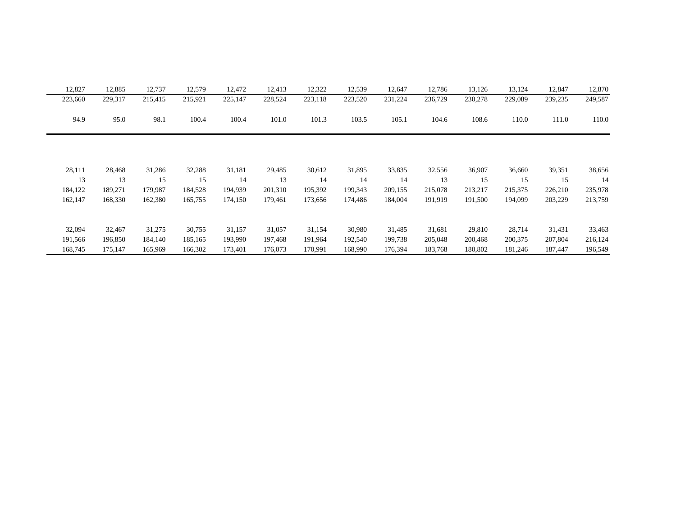| 12,827  | 12,885  | 12,737  | 12,579  | 12,472  | 12,413  | 12,322  | 12,539  | 12,647  | 12,786  | 13,126  | 13,124  | 12,847  | 12,870  |
|---------|---------|---------|---------|---------|---------|---------|---------|---------|---------|---------|---------|---------|---------|
| 223,660 | 229,317 | 215,415 | 215,921 | 225,147 | 228,524 | 223,118 | 223,520 | 231,224 | 236,729 | 230,278 | 229,089 | 239,235 | 249,587 |
| 94.9    | 95.0    | 98.1    | 100.4   | 100.4   | 101.0   | 101.3   | 103.5   | 105.1   | 104.6   | 108.6   | 110.0   | 111.0   | 110.0   |
|         |         |         |         |         |         |         |         |         |         |         |         |         |         |
| 28,111  | 28,468  | 31,286  | 32,288  | 31,181  | 29,485  | 30,612  | 31,895  | 33,835  | 32,556  | 36,907  | 36,660  | 39,351  | 38,656  |
| 13      | 13      | 15      | 15      | 14      | 13      | 14      | 14      | 14      | 13      | 15      | 15      | 15      | 14      |
| 184,122 | 189,271 | 179,987 | 184,528 | 194,939 | 201,310 | 195,392 | 199,343 | 209,155 | 215,078 | 213,217 | 215,375 | 226,210 | 235,978 |
| 162,147 | 168,330 | 162,380 | 165,755 | 174,150 | 179,461 | 173,656 | 174,486 | 184,004 | 191,919 | 191,500 | 194,099 | 203,229 | 213,759 |
|         |         |         |         |         |         |         |         |         |         |         |         |         |         |
| 32,094  | 32,467  | 31,275  | 30,755  | 31,157  | 31,057  | 31,154  | 30,980  | 31,485  | 31,681  | 29,810  | 28,714  | 31,431  | 33,463  |
| 191,566 | 196,850 | 184,140 | 185,165 | 193,990 | 197,468 | 191,964 | 192,540 | 199,738 | 205,048 | 200,468 | 200,375 | 207,804 | 216,124 |
| 168,745 | 175,147 | 165,969 | 166,302 | 173,401 | 176,073 | 170.991 | 168,990 | 176,394 | 183,768 | 180,802 | 181,246 | 187,447 | 196,549 |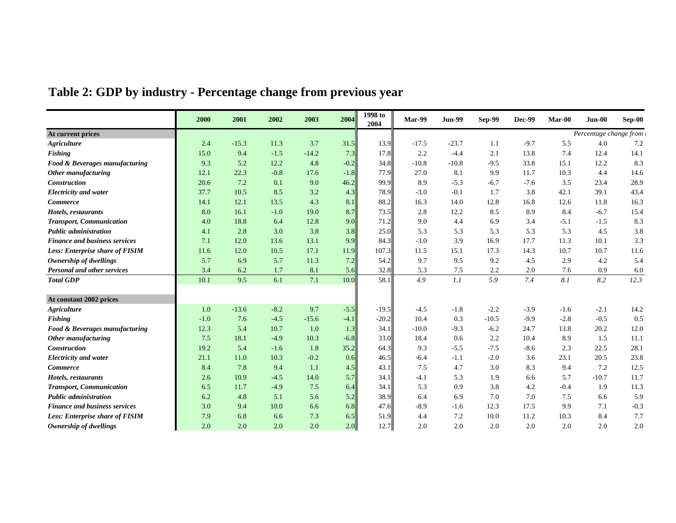|  |  | Table 2: GDP by industry - Percentage change from previous year |  |  |
|--|--|-----------------------------------------------------------------|--|--|
|  |  |                                                                 |  |  |
|  |  |                                                                 |  |  |

|                                        | 2000   | 2001    | 2002   | 2003    | 2004   | 1998 to<br>2004 | <b>Mar-99</b> | <b>Jun-99</b> | <b>Sep-99</b> | <b>Dec-99</b> | Mar-00 | Jun-00                 | Sep-00  |
|----------------------------------------|--------|---------|--------|---------|--------|-----------------|---------------|---------------|---------------|---------------|--------|------------------------|---------|
| At current prices                      |        |         |        |         |        |                 |               |               |               |               |        | Percentage change from |         |
| <b>Agriculture</b>                     | 2.4    | $-15.3$ | 11.3   | 3.7     | 31.5   | 13.9            | $-17.5$       | $-23.7$       | 1.1           | $-9.7$        | 5.5    | 4.0                    | 7.2     |
| Fishing                                | 15.0   | 9.4     | $-1.5$ | $-14.2$ | 7.3    | 17.8            | 2.2           | $-4.4$        | 2.1           | 13.8          | 7.4    | 12.4                   | 14.1    |
| Food & Beverages manufacturing         | 9.3    | 5.2     | 12.2   | 4.8     | $-0.2$ | 34.8            | $-10.8$       | $-10.8$       | $-9.5$        | 33.8          | 15.1   | 12.2                   | 8.3     |
| Other manufacturing                    | 12.1   | 22.3    | $-0.8$ | 17.6    | $-1.8$ | 77.9            | 27.0          | 8.1           | 9.9           | 11.7          | 10.3   | 4.4                    | 14.6    |
| <b>Construction</b>                    | 20.6   | 7.2     | 0.1    | 9.0     | 46.2   | 99.9            | 8.9           | $-5.3$        | $-6.7$        | $-7.6$        | 3.5    | 23.4                   | 28.9    |
| <b>Electricity and water</b>           | 37.7   | 10.5    | 8.5    | 3.2     | 4.3    | 78.9            | $-3.0$        | $-0.1$        | 1.7           | 3.8           | 42.1   | 39.1                   | 43.4    |
| <b>Commerce</b>                        | 14.1   | 12.1    | 13.5   | 4.3     | 8.1    | 88.2            | 16.3          | 14.0          | 12.8          | 16.8          | 12.6   | 11.8                   | 16.3    |
| Hotels, restaurants                    | 8.0    | 16.1    | $-1.0$ | 19.0    | 8.7    | 73.5            | 2.8           | 12.2          | 8.5           | 8.9           | 8.4    | $-6.7$                 | 15.4    |
| <b>Transport, Communication</b>        | 4.0    | 18.8    | 6.4    | 12.8    | 9.0    | 71.2            | 9.0           | 4.4           | 6.9           | 3.4           | $-5.1$ | $-1.5$                 | 8.3     |
| <b>Public administration</b>           | 4.1    | 2.8     | 3.0    | 3.8     | 3.8    | 25.0            | 5.3           | 5.3           | 5.3           | 5.3           | 5.3    | 4.5                    | 3.8     |
| <b>Finance and business services</b>   | 7.1    | 12.0    | 13.6   | 13.1    | 9.9    | 84.3            | $-3.0$        | 3.9           | 16.9          | 17.7          | 11.3   | 10.1                   | 3.3     |
| <b>Less: Enterprise share of FISIM</b> | 11.6   | 12.0    | 10.5   | 17.1    | 11.9   | 107.3           | 11.5          | 15.1          | 17.3          | 14.3          | 10.7   | 10.7                   | 11.6    |
| Ownership of dwellings                 | 5.7    | 6.9     | 5.7    | 11.3    | 7.2    | 54.2            | 9.7           | 9.5           | 9.2           | 4.5           | 2.9    | 4.2                    | 5.4     |
| <b>Personal and other services</b>     | 3.4    | 6.2     | 1.7    | 8.1     | 5.6    | 32.8            | 5.3           | 7.5           | 2.2           | 2.0           | 7.6    | 0.9                    | 6.0     |
| <b>Total GDP</b>                       | 10.1   | 9.5     | 6.1    | 7.1     | 10.0   | 58.1            | 4.9           | 1.1           | 5.9           | 7.4           | 8.1    | 8.2                    | 12.3    |
| At constant 2002 prices                |        |         |        |         |        |                 |               |               |               |               |        |                        |         |
| <b>Agriculture</b>                     | 1.0    | $-13.6$ | $-8.2$ | 9.7     | $-5.5$ | $-19.5$         | $-4.5$        | $-1.8$        | $-2.2$        | $-3.9$        | $-1.6$ | $-2.1$                 | 14.2    |
| <b>Fishing</b>                         | $-1.0$ | 7.6     | $-4.5$ | $-15.6$ | $-4.1$ | $-20.2$         | 10.4          | 0.3           | $-10.5$       | $-9.9$        | $-2.8$ | $-0.5$                 | 0.5     |
| Food & Beverages manufacturing         | 12.3   | 5.4     | 10.7   | 1.0     | 1.3    | 34.1            | $-10.0$       | $-9.3$        | $-6.2$        | 24.7          | 13.8   | 20.2                   | 12.0    |
| Other manufacturing                    | 7.5    | 18.1    | $-4.9$ | 10.3    | $-6.8$ | 33.0            | 18.4          | 0.6           | 2.2           | 10.4          | 8.9    | 1.5                    | 11.1    |
| Construction                           | 19.2   | 5.4     | $-1.6$ | 1.8     | 35.2   | 64.3            | 9.3           | $-5.5$        | $-7.5$        | $-8.6$        | 2.3    | 22.5                   | 28.1    |
| <b>Electricity and water</b>           | 21.1   | 11.0    | 10.3   | $-0.2$  | 0.6    | 46.5            | $-6.4$        | $-1.1$        | $-2.0$        | 3.6           | 23.1   | 20.5                   | 23.8    |
| <b>Commerce</b>                        | 8.4    | 7.8     | 9.4    | 1.1     | 4.5    | 43.1            | 7.5           | 4.7           | 3.0           | 8.3           | 9.4    | 7.2                    | 12.5    |
| Hotels, restaurants                    | 2.6    | 10.9    | $-4.5$ | 14.0    | 5.7    | 34.1            | $-4.1$        | 5.3           | 1.9           | 6.6           | 5.7    | $-10.7$                | 11.7    |
| <b>Transport, Communication</b>        | 6.5    | 11.7    | $-4.9$ | 7.5     | 6.4    | 34.1            | 5.3           | 0.9           | 3.8           | 4.2           | $-0.4$ | 1.9                    | 11.3    |
| <b>Public administration</b>           | 6.2    | 4.8     | 5.1    | 5.6     | 5.2    | 38.9            | 6.4           | 6.9           | 7.0           | 7.0           | 7.5    | 6.6                    | 5.9     |
| <b>Finance and business services</b>   | 3.0    | 9.4     | 10.0   | 6.6     | 6.8    | 47.6            | $-8.9$        | $-1.6$        | 12.3          | 17.5          | 9.9    | 7.1                    | $-0.3$  |
| <b>Less: Enterprise share of FISIM</b> | 7.9    | 6.8     | 6.6    | 7.3     | 6.5    | 51.9            | 4.4           | 7.2           | 10.0          | 11.2          | 10.3   | 8.4                    | $7.7\,$ |
| Ownership of dwellings                 | 2.0    | 2.0     | 2.0    | 2.0     | 2.0    | 12.7            | 2.0           | 2.0           | 2.0           | 2.0           | 2.0    | 2.0                    | 2.0     |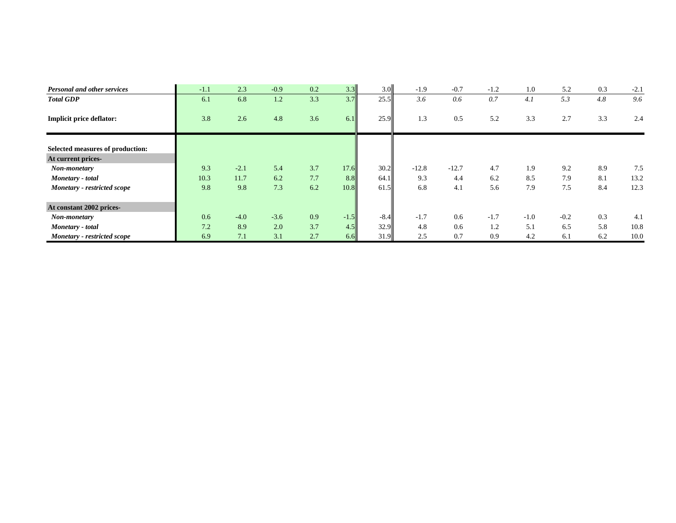| Personal and other services      | $-1.1$ | 2.3    | $-0.9$ | 0.2 | 3.3    | 3.0    | $-1.9$  | $-0.7$  | $-1.2$ | 1.0    | 5.2    | 0.3 | $-2.1$ |
|----------------------------------|--------|--------|--------|-----|--------|--------|---------|---------|--------|--------|--------|-----|--------|
| <b>Total GDP</b>                 | 6.1    | 6.8    | 1.2    | 3.3 | 3.7    | 25.5   | 3.6     | 0.6     | 0.7    | 4.1    | 5.3    | 4.8 | 9.6    |
| <b>Implicit price deflator:</b>  | 3.8    | 2.6    | 4.8    | 3.6 | 6.1    | 25.9   | 1.3     | 0.5     | 5.2    | 3.3    | 2.7    | 3.3 | 2.4    |
|                                  |        |        |        |     |        |        |         |         |        |        |        |     |        |
| Selected measures of production: |        |        |        |     |        |        |         |         |        |        |        |     |        |
| At current prices-               |        |        |        |     |        |        |         |         |        |        |        |     |        |
| Non-monetary                     | 9.3    | $-2.1$ | 5.4    | 3.7 | 17.6   | 30.2   | $-12.8$ | $-12.7$ | 4.7    | 1.9    | 9.2    | 8.9 | 7.5    |
| Monetary - total                 | 10.3   | 11.7   | 6.2    | 7.7 | 8.8    | 64.1   | 9.3     | 4.4     | 6.2    | 8.5    | 7.9    | 8.1 | 13.2   |
| Monetary - restricted scope      | 9.8    | 9.8    | 7.3    | 6.2 | 10.8   | 61.5   | 6.8     | 4.1     | 5.6    | 7.9    | 7.5    | 8.4 | 12.3   |
| At constant 2002 prices-         |        |        |        |     |        |        |         |         |        |        |        |     |        |
| Non-monetary                     | 0.6    | $-4.0$ | $-3.6$ | 0.9 | $-1.5$ | $-8.4$ | $-1.7$  | 0.6     | $-1.7$ | $-1.0$ | $-0.2$ | 0.3 | 4.1    |
| Monetary - total                 | 7.2    | 8.9    | 2.0    | 3.7 | 4.5    | 32.9   | 4.8     | 0.6     | 1.2    | 5.1    | 6.5    | 5.8 | 10.8   |
| Monetary - restricted scope      | 6.9    | 7.1    | 3.1    | 2.7 | 6.6    | 31.9   | 2.5     | 0.7     | 0.9    | 4.2    | 6.1    | 6.2 | 10.0   |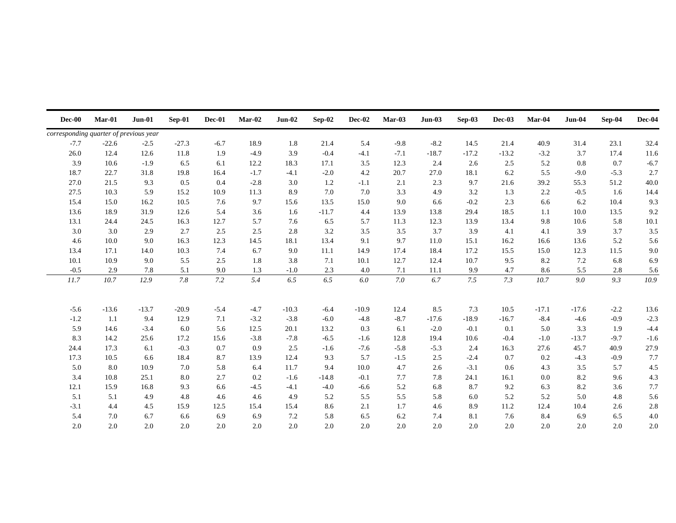| $Dec-00$                               | Mar-01  | $Jun-01$ | Sep-01  | Dec-01 | Mar-02 | <b>Jun-02</b> | Sep-02  | Dec-02  | Mar-03 | $Jun-03$ | Sep-03  | <b>Dec-03</b> | Mar-04  | <b>Jun-04</b> | Sep-04 | Dec-04 |
|----------------------------------------|---------|----------|---------|--------|--------|---------------|---------|---------|--------|----------|---------|---------------|---------|---------------|--------|--------|
| corresponding quarter of previous year |         |          |         |        |        |               |         |         |        |          |         |               |         |               |        |        |
| $-7.7$                                 | $-22.6$ | $-2.5$   | $-27.3$ | $-6.7$ | 18.9   | 1.8           | 21.4    | 5.4     | $-9.8$ | $-8.2$   | 14.5    | 21.4          | 40.9    | 31.4          | 23.1   | 32.4   |
| 26.0                                   | 12.4    | 12.6     | 11.8    | 1.9    | $-4.9$ | 3.9           | $-0.4$  | $-4.1$  | $-7.1$ | $-18.7$  | $-17.2$ | $-13.2$       | $-3.2$  | 3.7           | 17.4   | 11.6   |
| 3.9                                    | 10.6    | $-1.9$   | 6.5     | 6.1    | 12.2   | 18.3          | 17.1    | 3.5     | 12.3   | 2.4      | 2.6     | 2.5           | 5.2     | 0.8           | 0.7    | $-6.7$ |
| 18.7                                   | 22.7    | 31.8     | 19.8    | 16.4   | $-1.7$ | $-4.1$        | $-2.0$  | 4.2     | 20.7   | 27.0     | 18.1    | 6.2           | 5.5     | $-9.0$        | $-5.3$ | 2.7    |
| 27.0                                   | 21.5    | 9.3      | 0.5     | 0.4    | $-2.8$ | 3.0           | 1.2     | $-1.1$  | 2.1    | 2.3      | 9.7     | 21.6          | 39.2    | 55.3          | 51.2   | 40.0   |
| 27.5                                   | 10.3    | 5.9      | 15.2    | 10.9   | 11.3   | 8.9           | 7.0     | 7.0     | 3.3    | 4.9      | 3.2     | 1.3           | 2.2     | $-0.5$        | 1.6    | 14.4   |
| 15.4                                   | 15.0    | 16.2     | 10.5    | 7.6    | 9.7    | 15.6          | 13.5    | 15.0    | 9.0    | 6.6      | $-0.2$  | 2.3           | 6.6     | 6.2           | 10.4   | 9.3    |
| 13.6                                   | 18.9    | 31.9     | 12.6    | 5.4    | 3.6    | 1.6           | $-11.7$ | 4.4     | 13.9   | 13.8     | 29.4    | 18.5          | 1.1     | 10.0          | 13.5   | 9.2    |
| 13.1                                   | 24.4    | 24.5     | 16.3    | 12.7   | 5.7    | 7.6           | 6.5     | 5.7     | 11.3   | 12.3     | 13.9    | 13.4          | 9.8     | 10.6          | 5.8    | 10.1   |
| 3.0                                    | 3.0     | 2.9      | 2.7     | 2.5    | 2.5    | 2.8           | 3.2     | 3.5     | 3.5    | 3.7      | 3.9     | 4.1           | 4.1     | 3.9           | 3.7    | 3.5    |
| 4.6                                    | 10.0    | 9.0      | 16.3    | 12.3   | 14.5   | 18.1          | 13.4    | 9.1     | 9.7    | 11.0     | 15.1    | 16.2          | 16.6    | 13.6          | 5.2    | 5.6    |
| 13.4                                   | 17.1    | 14.0     | 10.3    | 7.4    | 6.7    | 9.0           | 11.1    | 14.9    | 17.4   | 18.4     | 17.2    | 15.5          | 15.0    | 12.3          | 11.5   | 9.0    |
| 10.1                                   | 10.9    | 9.0      | 5.5     | 2.5    | 1.8    | 3.8           | 7.1     | 10.1    | 12.7   | 12.4     | 10.7    | 9.5           | 8.2     | 7.2           | 6.8    | 6.9    |
| $-0.5$                                 | 2.9     | 7.8      | 5.1     | 9.0    | 1.3    | $-1.0$        | 2.3     | 4.0     | 7.1    | 11.1     | 9.9     | 4.7           | 8.6     | 5.5           | 2.8    | 5.6    |
| $\it 11.7$                             | 10.7    | 12.9     | 7.8     | 7.2    | 5.4    | 6.5           | 6.5     | $6.0\,$ | 7.0    | 6.7      | 7.5     | 7.3           | 10.7    | 9.0           | 9.3    | 10.9   |
|                                        |         |          |         |        |        |               |         |         |        |          |         |               |         |               |        |        |
| $-5.6$                                 | $-13.6$ | $-13.7$  | $-20.9$ | $-5.4$ | $-4.7$ | $-10.3$       | $-6.4$  | $-10.9$ | 12.4   | 8.5      | 7.3     | 10.5          | $-17.1$ | $-17.6$       | $-2.2$ | 13.6   |
| $-1.2$                                 | 1.1     | 9.4      | 12.9    | 7.1    | $-3.2$ | $-3.8$        | $-6.0$  | $-4.8$  | $-8.7$ | $-17.6$  | $-18.9$ | $-16.7$       | $-8.4$  | $-4.6$        | $-0.9$ | $-2.3$ |
| 5.9                                    | 14.6    | $-3.4$   | 6.0     | 5.6    | 12.5   | 20.1          | 13.2    | 0.3     | 6.1    | $-2.0$   | $-0.1$  | 0.1           | 5.0     | 3.3           | 1.9    | $-4.4$ |
| 8.3                                    | 14.2    | 25.6     | 17.2    | 15.6   | $-3.8$ | $-7.8$        | $-6.5$  | $-1.6$  | 12.8   | 19.4     | 10.6    | $-0.4$        | $-1.0$  | $-13.7$       | $-9.7$ | $-1.6$ |
| 24.4                                   | 17.3    | 6.1      | $-0.3$  | 0.7    | 0.9    | 2.5           | $-1.6$  | $-7.6$  | $-5.8$ | $-5.3$   | 2.4     | 16.3          | 27.6    | 45.7          | 40.9   | 27.9   |
| 17.3                                   | 10.5    | 6.6      | 18.4    | 8.7    | 13.9   | 12.4          | 9.3     | 5.7     | $-1.5$ | 2.5      | $-2.4$  | 0.7           | 0.2     | $-4.3$        | $-0.9$ | 7.7    |
| 5.0                                    | $8.0\,$ | 10.9     | 7.0     | 5.8    | 6.4    | 11.7          | 9.4     | 10.0    | 4.7    | 2.6      | $-3.1$  | 0.6           | 4.3     | 3.5           | 5.7    | 4.5    |
| 3.4                                    | 10.8    | 25.1     | 8.0     | 2.7    | 0.2    | $-1.6$        | $-14.8$ | $-0.1$  | 7.7    | 7.8      | 24.1    | 16.1          | 0.0     | 8.2           | 9.6    | 4.3    |
| 12.1                                   | 15.9    | 16.8     | 9.3     | 6.6    | $-4.5$ | $-4.1$        | $-4.0$  | $-6.6$  | 5.2    | 6.8      | 8.7     | 9.2           | 6.3     | 8.2           | 3.6    | 7.7    |
| 5.1                                    | 5.1     | 4.9      | 4.8     | 4.6    | 4.6    | 4.9           | 5.2     | 5.5     | 5.5    | 5.8      | 6.0     | 5.2           | 5.2     | 5.0           | 4.8    | 5.6    |
| $-3.1$                                 | 4.4     | 4.5      | 15.9    | 12.5   | 15.4   | 15.4          | 8.6     | 2.1     | 1.7    | 4.6      | 8.9     | 11.2          | 12.4    | 10.4          | 2.6    | 2.8    |
| 5.4                                    | 7.0     | 6.7      | 6.6     | 6.9    | 6.9    | 7.2           | 5.8     | 6.5     | 6.2    | 7.4      | 8.1     | 7.6           | 8.4     | 6.9           | 6.5    | 4.0    |
| 2.0                                    | 2.0     | 2.0      | 2.0     | 2.0    | 2.0    | 2.0           | 2.0     | 2.0     | 2.0    | 2.0      | 2.0     | 2.0           | 2.0     | 2.0           | 2.0    | 2.0    |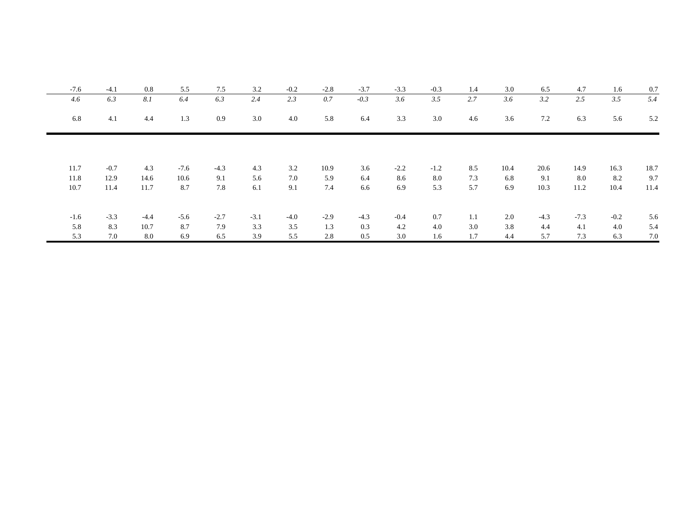| $-7.6$ | $-4.1$ | 0.8    | 5.5    | 7.5    | 3.2    | $-0.2$ | $-2.8$ | $-3.7$ | $-3.3$ | $-0.3$  | 1.4 | 3.0  | 6.5    | 4.7    | 1.6    | 0.7  |
|--------|--------|--------|--------|--------|--------|--------|--------|--------|--------|---------|-----|------|--------|--------|--------|------|
| 4.6    | 6.3    | 8.1    | 6.4    | 6.3    | 2.4    | 2.3    | 0.7    | $-0.3$ | 3.6    | 3.5     | 2.7 | 3.6  | 3.2    | 2.5    | 3.5    | 5.4  |
| 6.8    | 4.1    | 4.4    | 1.3    | 0.9    | 3.0    | 4.0    | 5.8    | 6.4    | 3.3    | $3.0\,$ | 4.6 | 3.6  | 7.2    | 6.3    | 5.6    | 5.2  |
|        |        |        |        |        |        |        |        |        |        |         |     |      |        |        |        |      |
| 11.7   | $-0.7$ | 4.3    | $-7.6$ | $-4.3$ | 4.3    | 3.2    | 10.9   | 3.6    | $-2.2$ | $-1.2$  | 8.5 | 10.4 | 20.6   | 14.9   | 16.3   | 18.7 |
| 11.8   | 12.9   | 14.6   | 10.6   | 9.1    | 5.6    | 7.0    | 5.9    | 6.4    | 8.6    | 8.0     | 7.3 | 6.8  | 9.1    | 8.0    | 8.2    | 9.7  |
| 10.7   | 11.4   | 11.7   | 8.7    | 7.8    | 6.1    | 9.1    | 7.4    | 6.6    | 6.9    | 5.3     | 5.7 | 6.9  | 10.3   | 11.2   | 10.4   | 11.4 |
|        |        |        |        |        |        |        |        |        |        |         |     |      |        |        |        |      |
| $-1.6$ | $-3.3$ | $-4.4$ | $-5.6$ | $-2.7$ | $-3.1$ | $-4.0$ | $-2.9$ | $-4.3$ | $-0.4$ | 0.7     | 1.1 | 2.0  | $-4.3$ | $-7.3$ | $-0.2$ | 5.6  |
| 5.8    | 8.3    | 10.7   | 8.7    | 7.9    | 3.3    | 3.5    | 1.3    | 0.3    | 4.2    | 4.0     | 3.0 | 3.8  | 4.4    | 4.1    | 4.0    | 5.4  |
| 5.3    | 7.0    | 8.0    | 6.9    | 6.5    | 3.9    | 5.5    | 2.8    | 0.5    | 3.0    | 1.6     | 1.7 | 4.4  | 5.7    | 7.3    | 6.3    | 7.0  |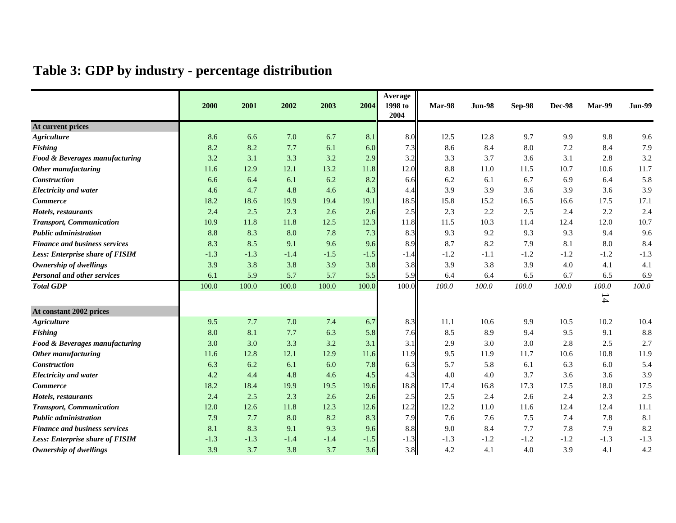# **Table 3: GDP by industry - percentage distribution**

|                                        |        |        |        |        |        | Average         |        |               |        |               |        |               |
|----------------------------------------|--------|--------|--------|--------|--------|-----------------|--------|---------------|--------|---------------|--------|---------------|
|                                        | 2000   | 2001   | 2002   | 2003   | 2004   | 1998 to<br>2004 | Mar-98 | <b>Jun-98</b> | Sep-98 | <b>Dec-98</b> | Mar-99 | <b>Jun-99</b> |
| At current prices                      |        |        |        |        |        |                 |        |               |        |               |        |               |
| <b>Agriculture</b>                     | 8.6    | 6.6    | 7.0    | 6.7    | 8.1    | 8.0             | 12.5   | 12.8          | 9.7    | 9.9           | 9.8    | 9.6           |
| Fishing                                | 8.2    | 8.2    | 7.7    | 6.1    | 6.0    | 7.3             | 8.6    | 8.4           | 8.0    | 7.2           | 8.4    | 7.9           |
| Food & Beverages manufacturing         | 3.2    | 3.1    | 3.3    | 3.2    | 2.9    | 3.2             | 3.3    | 3.7           | 3.6    | 3.1           | 2.8    | 3.2           |
| Other manufacturing                    | 11.6   | 12.9   | 12.1   | 13.2   | 11.8   | 12.0            | 8.8    | 11.0          | 11.5   | 10.7          | 10.6   | 11.7          |
| <b>Construction</b>                    | 6.6    | 6.4    | 6.1    | 6.2    | 8.2    | 6.6             | 6.2    | 6.1           | 6.7    | 6.9           | 6.4    | 5.8           |
| <b>Electricity and water</b>           | 4.6    | 4.7    | 4.8    | 4.6    | 4.3    | 4.4             | 3.9    | 3.9           | 3.6    | 3.9           | 3.6    | 3.9           |
| <b>Commerce</b>                        | 18.2   | 18.6   | 19.9   | 19.4   | 19.1   | 18.5            | 15.8   | 15.2          | 16.5   | 16.6          | 17.5   | 17.1          |
| Hotels, restaurants                    | 2.4    | 2.5    | 2.3    | 2.6    | 2.6    | 2.5             | 2.3    | 2.2           | 2.5    | 2.4           | 2.2    | 2.4           |
| <b>Transport, Communication</b>        | 10.9   | 11.8   | 11.8   | 12.5   | 12.3   | 11.8            | 11.5   | 10.3          | 11.4   | 12.4          | 12.0   | 10.7          |
| <b>Public administration</b>           | 8.8    | 8.3    | 8.0    | 7.8    | 7.3    | 8.3             | 9.3    | 9.2           | 9.3    | 9.3           | 9.4    | 9.6           |
| <b>Finance and business services</b>   | 8.3    | 8.5    | 9.1    | 9.6    | 9.6    | 8.9             | 8.7    | 8.2           | 7.9    | 8.1           | 8.0    | 8.4           |
| <b>Less: Enterprise share of FISIM</b> | $-1.3$ | $-1.3$ | $-1.4$ | $-1.5$ | $-1.5$ | $-1.4$          | $-1.2$ | $-1.1$        | $-1.2$ | $-1.2$        | $-1.2$ | $-1.3$        |
| Ownership of dwellings                 | 3.9    | 3.8    | 3.8    | 3.9    | 3.8    | 3.8             | 3.9    | 3.8           | 3.9    | 4.0           | 4.1    | 4.1           |
| <b>Personal and other services</b>     | 6.1    | 5.9    | 5.7    | 5.7    | 5.5    | 5.9             | 6.4    | 6.4           | 6.5    | 6.7           | 6.5    | 6.9           |
| <b>Total GDP</b>                       | 100.0  | 100.0  | 100.0  | 100.0  | 100.0  | 100.0           | 100.0  | 100.0         | 100.0  | 100.0         | 100.0  | 100.0         |
|                                        |        |        |        |        |        |                 |        |               |        |               | 14     |               |
| At constant 2002 prices                |        |        |        |        |        |                 |        |               |        |               |        |               |
| <b>Agriculture</b>                     | 9.5    | 7.7    | 7.0    | 7.4    | 6.7    | 8.3             | 11.1   | 10.6          | 9.9    | 10.5          | 10.2   | 10.4          |
| Fishing                                | 8.0    | 8.1    | 7.7    | 6.3    | 5.8    | 7.6             | 8.5    | 8.9           | 9.4    | 9.5           | 9.1    | 8.8           |
| Food & Beverages manufacturing         | 3.0    | 3.0    | 3.3    | 3.2    | 3.1    | 3.1             | 2.9    | 3.0           | 3.0    | 2.8           | 2.5    | 2.7           |
| <b>Other manufacturing</b>             | 11.6   | 12.8   | 12.1   | 12.9   | 11.6   | 11.9            | 9.5    | 11.9          | 11.7   | 10.6          | 10.8   | 11.9          |
| Construction                           | 6.3    | 6.2    | 6.1    | 6.0    | 7.8    | 6.3             | 5.7    | 5.8           | 6.1    | 6.3           | 6.0    | 5.4           |
| <b>Electricity and water</b>           | 4.2    | 4.4    | 4.8    | 4.6    | 4.5    | 4.3             | 4.0    | 4.0           | 3.7    | 3.6           | 3.6    | 3.9           |
| <b>Commerce</b>                        | 18.2   | 18.4   | 19.9   | 19.5   | 19.6   | 18.8            | 17.4   | 16.8          | 17.3   | 17.5          | 18.0   | 17.5          |
| Hotels, restaurants                    | 2.4    | 2.5    | 2.3    | 2.6    | 2.6    | 2.5             | 2.5    | 2.4           | 2.6    | 2.4           | 2.3    | 2.5           |
| <b>Transport, Communication</b>        | 12.0   | 12.6   | 11.8   | 12.3   | 12.6   | 12.2            | 12.2   | 11.0          | 11.6   | 12.4          | 12.4   | 11.1          |
| <b>Public administration</b>           | 7.9    | 7.7    | 8.0    | 8.2    | 8.3    | 7.9             | 7.6    | 7.6           | 7.5    | 7.4           | 7.8    | 8.1           |
| <b>Finance and business services</b>   | 8.1    | 8.3    | 9.1    | 9.3    | 9.6    | 8.8             | 9.0    | 8.4           | 7.7    | 7.8           | 7.9    | 8.2           |
| <b>Less: Enterprise share of FISIM</b> | $-1.3$ | $-1.3$ | $-1.4$ | $-1.4$ | $-1.5$ | $-1.3$          | $-1.3$ | $-1.2$        | $-1.2$ | $-1.2$        | $-1.3$ | $-1.3$        |
| Ownership of dwellings                 | 3.9    | 3.7    | 3.8    | 3.7    | 3.6    | 3.8             | 4.2    | 4.1           | 4.0    | 3.9           | 4.1    | 4.2           |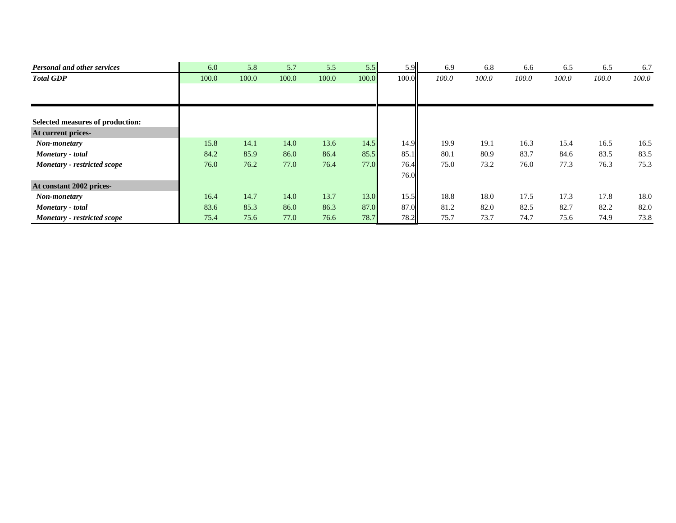| <b>Personal and other services</b> | 6.0   | 5.8   | 5.7   | 5.5   | 5.5   | 5.9   | 6.9   | 6.8   | 6.6   | 6.5   | 6.5   | 6.7   |
|------------------------------------|-------|-------|-------|-------|-------|-------|-------|-------|-------|-------|-------|-------|
| <b>Total GDP</b>                   | 100.0 | 100.0 | 100.0 | 100.0 | 100.0 | 100.0 | 100.0 | 100.0 | 100.0 | 100.0 | 100.0 | 100.0 |
|                                    |       |       |       |       |       |       |       |       |       |       |       |       |
|                                    |       |       |       |       |       |       |       |       |       |       |       |       |
| Selected measures of production:   |       |       |       |       |       |       |       |       |       |       |       |       |
| At current prices-                 |       |       |       |       |       |       |       |       |       |       |       |       |
| Non-monetary                       | 15.8  | 14.1  | 14.0  | 13.6  | 14.5  | 14.9  | 19.9  | 19.1  | 16.3  | 15.4  | 16.5  | 16.5  |
| Monetary - total                   | 84.2  | 85.9  | 86.0  | 86.4  | 85.5  | 85.1  | 80.1  | 80.9  | 83.7  | 84.6  | 83.5  | 83.5  |
| Monetary - restricted scope        | 76.0  | 76.2  | 77.0  | 76.4  | 77.0  | 76.4  | 75.0  | 73.2  | 76.0  | 77.3  | 76.3  | 75.3  |
|                                    |       |       |       |       |       | 76.0  |       |       |       |       |       |       |
| At constant 2002 prices-           |       |       |       |       |       |       |       |       |       |       |       |       |
| Non-monetary                       | 16.4  | 14.7  | 14.0  | 13.7  | 13.0  | 15.5  | 18.8  | 18.0  | 17.5  | 17.3  | 17.8  | 18.0  |
| Monetary - total                   | 83.6  | 85.3  | 86.0  | 86.3  | 87.0  | 87.0  | 81.2  | 82.0  | 82.5  | 82.7  | 82.2  | 82.0  |
| Monetary - restricted scope        | 75.4  | 75.6  | 77.0  | 76.6  | 78.7  | 78.2  | 75.7  | 73.7  | 74.7  | 75.6  | 74.9  | 73.8  |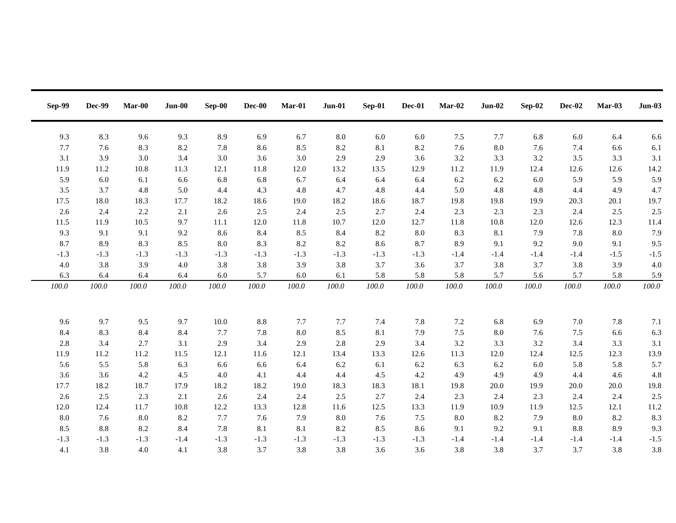| <b>Sep-99</b> | <b>Dec-99</b> | $Mar-00$ | $Jun-00$ | $Sep-00$  | Dec-00 | Mar-01  | $Jun-01$ | Sep-01 | Dec-01    | $Mar-02$ | $Jun-02$ | $Sep-02$   | $Dec-02$ | $Mar-03$   | $Jun-03$           |
|---------------|---------------|----------|----------|-----------|--------|---------|----------|--------|-----------|----------|----------|------------|----------|------------|--------------------|
| 9.3           | 8.3           | 9.6      | 9.3      | 8.9       | 6.9    | 6.7     | $8.0\,$  | 6.0    | $6.0\,$   | $7.5$    | 7.7      |            | 6.0      | 6.4        |                    |
| 7.7           | 7.6           | 8.3      | 8.2      | 7.8       | 8.6    | 8.5     | 8.2      | 8.1    | $8.2\,$   | 7.6      | 8.0      | 6.8<br>7.6 | 7.4      |            | $6.6\,$            |
| 3.1           | 3.9           | 3.0      | 3.4      | 3.0       | 3.6    | 3.0     | 2.9      | 2.9    | 3.6       | $3.2\,$  | 3.3      | 3.2        | 3.5      | 6.6<br>3.3 | $6.1\,$<br>$3.1\,$ |
| 11.9          | 11.2          | 10.8     | 11.3     | 12.1      | 11.8   | 12.0    | 13.2     | 13.5   | 12.9      | 11.2     | 11.9     | 12.4       | 12.6     | 12.6       | 14.2               |
| 5.9           | $6.0\,$       | 6.1      | 6.6      | 6.8       | 6.8    | 6.7     | 6.4      | 6.4    | 6.4       | $6.2\,$  | 6.2      | $6.0\,$    | 5.9      | 5.9        | 5.9                |
| 3.5           | 3.7           | 4.8      | 5.0      | 4.4       | 4.3    | 4.8     | 4.7      | 4.8    | 4.4       | 5.0      | 4.8      | 4.8        | 4.4      | 4.9        | 4.7                |
| 17.5          | 18.0          | 18.3     | 17.7     | 18.2      | 18.6   | 19.0    | 18.2     | 18.6   | 18.7      | 19.8     | 19.8     | 19.9       | 20.3     | 20.1       | 19.7               |
| 2.6           | 2.4           | 2.2      | 2.1      | 2.6       | 2.5    | 2.4     | 2.5      | 2.7    | 2.4       | 2.3      | 2.3      | 2.3        | 2.4      | 2.5        | $2.5\,$            |
| 11.5          | 11.9          | 10.5     | 9.7      | 11.1      | 12.0   | 11.8    | 10.7     | 12.0   | 12.7      | 11.8     | 10.8     | 12.0       | 12.6     | 12.3       | 11.4               |
| 9.3           | 9.1           | 9.1      | 9.2      | 8.6       | 8.4    | $8.5\,$ | 8.4      | 8.2    | $\ \ 8.0$ | 8.3      | 8.1      | 7.9        | 7.8      | 8.0        | 7.9                |
| 8.7           | 8.9           | 8.3      | 8.5      | $8.0\,$   | 8.3    | $8.2\,$ | 8.2      | 8.6    | 8.7       | 8.9      | 9.1      | 9.2        | 9.0      | 9.1        | 9.5                |
| $-1.3$        | $-1.3$        | $-1.3$   | $-1.3$   | $-1.3$    | $-1.3$ | $-1.3$  | $-1.3$   | $-1.3$ | $-1.3$    | $-1.4$   | $-1.4$   | $-1.4$     | $-1.4$   | $-1.5$     | $-1.5$             |
| 4.0           | 3.8           | 3.9      | 4.0      | 3.8       | 3.8    | 3.9     | 3.8      | 3.7    | 3.6       | 3.7      | 3.8      | 3.7        | 3.8      | 3.9        | $4.0\,$            |
| 6.3           | 6.4           | 6.4      | 6.4      | $6.0\,$   | 5.7    | 6.0     | 6.1      | 5.8    | 5.8       | 5.8      | 5.7      | 5.6        | 5.7      | 5.8        | 5.9                |
| 100.0         | 100.0         | 100.0    | 100.0    | $100.0\,$ | 100.0  | 100.0   | 100.0    | 100.0  | 100.0     | 100.0    | 100.0    | 100.0      | 100.0    | 100.0      | 100.0              |
|               |               |          |          |           |        |         |          |        |           |          |          |            |          |            |                    |
|               |               |          |          |           |        |         |          |        |           |          |          |            |          |            |                    |
| 9.6           | 9.7           | 9.5      | 9.7      | 10.0      | 8.8    | 7.7     | 7.7      | 7.4    | 7.8       | $7.2\,$  | 6.8      | 6.9        | 7.0      | 7.8        | 7.1                |
| 8.4           | 8.3           | 8.4      | 8.4      | 7.7       | 7.8    | $8.0\,$ | 8.5      | 8.1    | 7.9       | $7.5$    | 8.0      | 7.6        | 7.5      | 6.6        | $6.3\,$            |
| $2.8\,$       | 3.4           | 2.7      | 3.1      | 2.9       | 3.4    | 2.9     | 2.8      | 2.9    | 3.4       | $3.2\,$  | 3.3      | 3.2        | 3.4      | 3.3        | 3.1                |
| 11.9          | 11.2          | 11.2     | 11.5     | 12.1      | 11.6   | 12.1    | 13.4     | 13.3   | 12.6      | 11.3     | 12.0     | 12.4       | 12.5     | 12.3       | 13.9               |
| 5.6           | 5.5           | 5.8      | 6.3      | 6.6       | 6.6    | 6.4     | $6.2\,$  | 6.1    | $6.2\,$   | 6.3      | 6.2      | $6.0\,$    | 5.8      | 5.8        | 5.7                |
| 3.6           | 3.6           | 4.2      | 4.5      | $4.0\,$   | 4.1    | 4.4     | 4.4      | 4.5    | 4.2       | 4.9      | 4.9      | 4.9        | 4.4      | 4.6        | 4.8                |
| 17.7          | 18.2          | 18.7     | 17.9     | 18.2      | 18.2   | 19.0    | 18.3     | 18.3   | 18.1      | 19.8     | 20.0     | 19.9       | 20.0     | 20.0       | 19.8               |
| 2.6           | 2.5           | 2.3      | 2.1      | 2.6       | 2.4    | 2.4     | 2.5      | 2.7    | 2.4       | 2.3      | 2.4      | 2.3        | 2.4      | 2.4        | $2.5$              |
| 12.0          | 12.4          | 11.7     | 10.8     | 12.2      | 13.3   | 12.8    | 11.6     | 12.5   | 13.3      | 11.9     | 10.9     | 11.9       | 12.5     | 12.1       | $11.2\,$           |
| $8.0\,$       | 7.6           | $8.0\,$  | 8.2      | 7.7       | 7.6    | 7.9     | $8.0\,$  | 7.6    | $7.5$     | $8.0\,$  | 8.2      | 7.9        | 8.0      | 8.2        | $8.3\,$            |
| 8.5           | $8.8\,$       | 8.2      | 8.4      | 7.8       | 8.1    | 8.1     | 8.2      | 8.5    | 8.6       | 9.1      | 9.2      | 9.1        | 8.8      | 8.9        | $9.3\,$            |
| $-1.3$        | $-1.3$        | $-1.3$   | $-1.4$   | $-1.3$    | $-1.3$ | $-1.3$  | $-1.3$   | $-1.3$ | $-1.3$    | $-1.4$   | $-1.4$   | $-1.4$     | $-1.4$   | $-1.4$     | $-1.5$             |
| 4.1           | 3.8           | 4.0      | 4.1      | 3.8       | 3.7    | 3.8     | 3.8      | 3.6    | 3.6       | 3.8      | 3.8      | 3.7        | 3.7      | 3.8        | $3.8\,$            |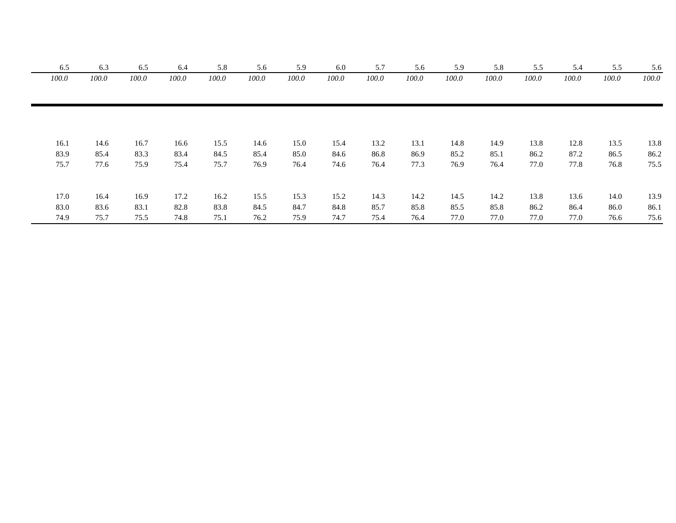| 6.5   | 6.3   | 6.5   | 6.4   | 5.8   | 5.6   | 5.9   | 6.0   | 5.7   | 5.6   | 5.9   | 5.8   | 5.5   | 5.4   | 5.5   | 5.6   |
|-------|-------|-------|-------|-------|-------|-------|-------|-------|-------|-------|-------|-------|-------|-------|-------|
| 100.0 | 100.0 | 100.0 | 100.0 | 100.0 | 100.0 | 100.0 | 100.0 | 100.0 | 100.0 | 100.0 | 100.0 | 100.0 | 100.0 | 100.0 | 100.0 |
|       |       |       |       |       |       |       |       |       |       |       |       |       |       |       |       |
|       |       |       |       |       |       |       |       |       |       |       |       |       |       |       |       |
| 16.1  | 14.6  | 16.7  | 16.6  | 15.5  | 14.6  | 15.0  | 15.4  | 13.2  | 13.1  | 14.8  | 14.9  | 13.8  | 12.8  | 13.5  | 13.8  |
| 83.9  | 85.4  | 83.3  | 83.4  | 84.5  | 85.4  | 85.0  | 84.6  | 86.8  | 86.9  | 85.2  | 85.1  | 86.2  | 87.2  | 86.5  | 86.2  |
| 75.7  | 77.6  | 75.9  | 75.4  | 75.7  | 76.9  | 76.4  | 74.6  | 76.4  | 77.3  | 76.9  | 76.4  | 77.0  | 77.8  | 76.8  | 75.5  |
|       |       |       |       |       |       |       |       |       |       |       |       |       |       |       |       |
| 17.0  | 16.4  | 16.9  | 17.2  | 16.2  | 15.5  | 15.3  | 15.2  | 14.3  | 14.2  | 14.5  | 14.2  | 13.8  | 13.6  | 14.0  | 13.9  |
| 83.0  | 83.6  | 83.1  | 82.8  | 83.8  | 84.5  | 84.7  | 84.8  | 85.7  | 85.8  | 85.5  | 85.8  | 86.2  | 86.4  | 86.0  | 86.1  |
| 74.9  | 75.7  | 75.5  | 74.8  | 75.1  | 76.2  | 75.9  | 74.7  | 75.4  | 76.4  | 77.0  | 77.0  | 77.0  | 77.0  | 76.6  | 75.6  |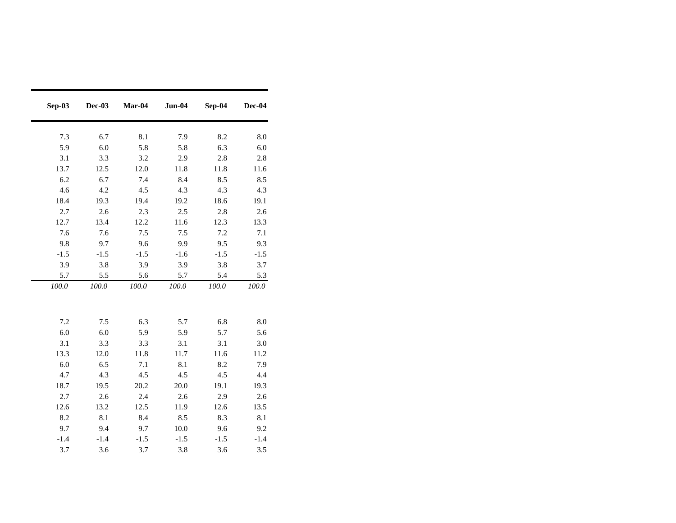| Sep-03 | Dec-03 | Mar-04 | $Jun-04$ | Sep-04 | Dec-04    |
|--------|--------|--------|----------|--------|-----------|
|        |        |        |          |        |           |
| 7.3    | 6.7    | 8.1    | 7.9      | 8.2    | 8.0       |
| 5.9    | 6.0    | 5.8    | 5.8      | 6.3    | 6.0       |
| 3.1    | 3.3    | 3.2    | 2.9      | 2.8    | 2.8       |
| 13.7   | 12.5   | 12.0   | 11.8     | 11.8   | 11.6      |
| 6.2    | 6.7    | 7.4    | 8.4      | 8.5    | 8.5       |
| 4.6    | 4.2    | 4.5    | 4.3      | 4.3    | 4.3       |
| 18.4   | 19.3   | 19.4   | 19.2     | 18.6   | 19.1      |
| 2.7    | 2.6    | 2.3    | 2.5      | 2.8    | 2.6       |
| 12.7   | 13.4   | 12.2   | 11.6     | 12.3   | 13.3      |
| 7.6    | 7.6    | 7.5    | 7.5      | 7.2    | 7.1       |
| 9.8    | 9.7    | 9.6    | 9.9      | 9.5    | 9.3       |
| $-1.5$ | $-1.5$ | $-1.5$ | $-1.6$   | $-1.5$ | $-1.5$    |
| 3.9    | 3.8    | 3.9    | 3.9      | 3.8    | 3.7       |
| 5.7    | 5.5    | 5.6    | 5.7      | 5.4    | 5.3       |
| 100.0  | 100.0  | 100.0  | 100.0    | 100.0  | $100.0\,$ |
|        |        |        |          |        |           |
|        |        |        |          |        |           |
| 7.2    | 7.5    | 6.3    | 5.7      | 6.8    | 8.0       |
| 6.0    | 6.0    | 5.9    | 5.9      | 5.7    | 5.6       |
| 3.1    | 3.3    | 3.3    | 3.1      | 3.1    | 3.0       |
| 13.3   | 12.0   | 11.8   | 11.7     | 11.6   | 11.2      |
| 6.0    | 6.5    | 7.1    | 8.1      | 8.2    | 7.9       |
| 4.7    | 4.3    | 4.5    | 4.5      | 4.5    | 4.4       |
| 18.7   | 19.5   | 20.2   | 20.0     | 19.1   | 19.3      |
| 2.7    | 2.6    | 2.4    | 2.6      | 2.9    | 2.6       |
| 12.6   | 13.2   | 12.5   | 11.9     | 12.6   | 13.5      |
| 8.2    | 8.1    | 8.4    | 8.5      | 8.3    | 8.1       |
| 9.7    | 9.4    | 9.7    | 10.0     | 9.6    | 9.2       |
| $-1.4$ | $-1.4$ | $-1.5$ | $-1.5$   | $-1.5$ | $-1.4$    |
| 3.7    | 3.6    | 3.7    | 3.8      | 3.6    | 3.5       |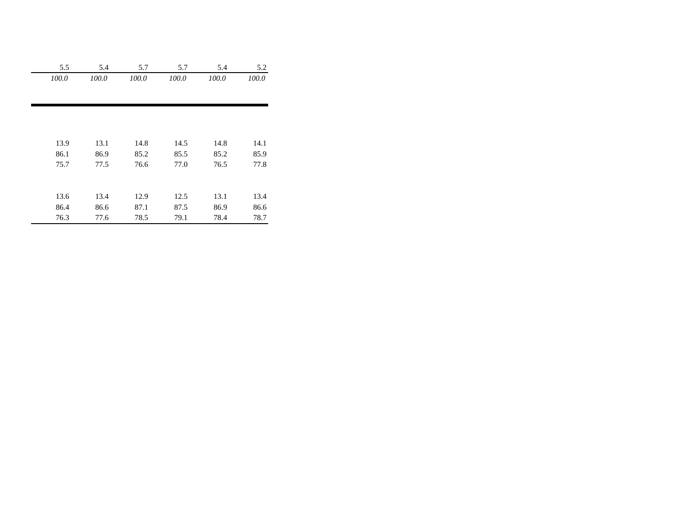| 5.5   | 5.4   | 5.7   | 5.7   | 5.4   | 5.2   |
|-------|-------|-------|-------|-------|-------|
| 100.0 | 100.0 | 100.0 | 100.0 | 100.0 | 100.0 |
|       |       |       |       |       |       |
|       |       |       |       |       |       |
|       |       |       |       |       |       |
|       |       |       |       |       |       |
|       |       |       |       |       |       |
| 13.9  | 13.1  | 14.8  | 14.5  | 14.8  | 14.1  |
| 86.1  | 86.9  | 85.2  | 85.5  | 85.2  | 85.9  |
| 75.7  | 77.5  | 76.6  | 77.0  | 76.5  | 77.8  |
|       |       |       |       |       |       |
|       |       |       |       |       |       |
| 13.6  | 13.4  | 12.9  | 12.5  | 13.1  | 13.4  |
| 86.4  | 86.6  | 87.1  | 87.5  | 86.9  | 86.6  |
| 76.3  | 77.6  | 78.5  | 79.1  | 78.4  | 78.7  |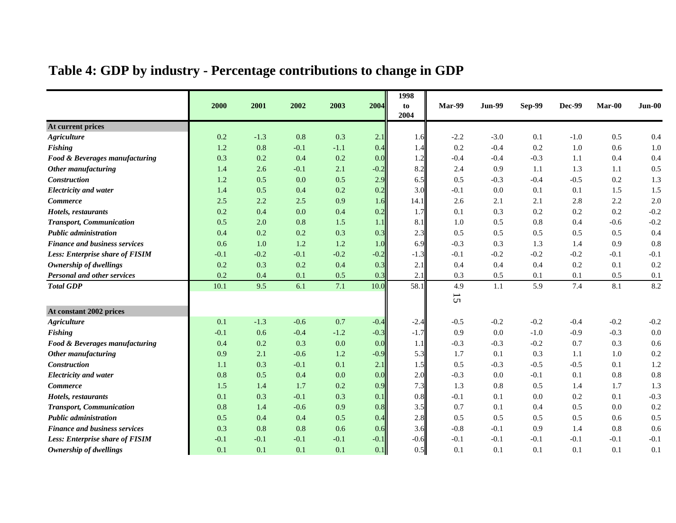|  |  | Table 4: GDP by industry - Percentage contributions to change in GDP |
|--|--|----------------------------------------------------------------------|
|  |  |                                                                      |

|                                        |        |        |        |        |        | 1998       |                 |               |               |               |        |          |
|----------------------------------------|--------|--------|--------|--------|--------|------------|-----------------|---------------|---------------|---------------|--------|----------|
|                                        | 2000   | 2001   | 2002   | 2003   | 2004   | to<br>2004 | Mar-99          | <b>Jun-99</b> | <b>Sep-99</b> | <b>Dec-99</b> | Mar-00 | $Jun-00$ |
| At current prices                      |        |        |        |        |        |            |                 |               |               |               |        |          |
| <b>Agriculture</b>                     | 0.2    | $-1.3$ | 0.8    | 0.3    | 2.1    | 1.6        | $-2.2$          | $-3.0$        | 0.1           | $-1.0$        | 0.5    | 0.4      |
| <b>Fishing</b>                         | 1.2    | 0.8    | $-0.1$ | $-1.1$ | 0.4    | 1.4        | 0.2             | $-0.4$        | 0.2           | 1.0           | 0.6    | 1.0      |
| Food & Beverages manufacturing         | 0.3    | 0.2    | 0.4    | 0.2    | 0.0    | 1.2        | $-0.4$          | $-0.4$        | $-0.3$        | 1.1           | 0.4    | 0.4      |
| Other manufacturing                    | 1.4    | 2.6    | $-0.1$ | 2.1    | $-0.2$ | 8.2        | 2.4             | 0.9           | 1.1           | 1.3           | 1.1    | 0.5      |
| <b>Construction</b>                    | 1.2    | 0.5    | 0.0    | 0.5    | 2.9    | 6.5        | 0.5             | $-0.3$        | $-0.4$        | $-0.5$        | 0.2    | 1.3      |
| <b>Electricity and water</b>           | 1.4    | 0.5    | 0.4    | 0.2    | 0.2    | 3.0        | $-0.1$          | 0.0           | 0.1           | 0.1           | 1.5    | 1.5      |
| <b>Commerce</b>                        | 2.5    | 2.2    | 2.5    | 0.9    | 1.6    | 14.1       | 2.6             | 2.1           | 2.1           | 2.8           | 2.2    | 2.0      |
| Hotels, restaurants                    | 0.2    | 0.4    | 0.0    | 0.4    | 0.2    | 1.7        | 0.1             | 0.3           | 0.2           | 0.2           | 0.2    | $-0.2$   |
| <b>Transport, Communication</b>        | 0.5    | 2.0    | 0.8    | 1.5    | 1.1    | 8.1        | 1.0             | 0.5           | 0.8           | 0.4           | $-0.6$ | $-0.2$   |
| <b>Public administration</b>           | 0.4    | 0.2    | 0.2    | 0.3    | 0.3    | 2.3        | 0.5             | 0.5           | 0.5           | 0.5           | 0.5    | 0.4      |
| <b>Finance and business services</b>   | 0.6    | 1.0    | 1.2    | 1.2    | 1.0    | 6.9        | $-0.3$          | 0.3           | 1.3           | 1.4           | 0.9    | $0.8\,$  |
| <b>Less: Enterprise share of FISIM</b> | $-0.1$ | $-0.2$ | $-0.1$ | $-0.2$ | $-0.2$ | $-1.3$     | $-0.1$          | $-0.2$        | $-0.2$        | $-0.2$        | $-0.1$ | $-0.1$   |
| Ownership of dwellings                 | 0.2    | 0.3    | 0.2    | 0.4    | 0.3    | 2.1        | 0.4             | 0.4           | 0.4           | 0.2           | 0.1    | 0.2      |
| <b>Personal and other services</b>     | 0.2    | 0.4    | 0.1    | 0.5    | 0.3    | 2.1        | 0.3             | 0.5           | 0.1           | 0.1           | 0.5    | 0.1      |
| <b>Total GDP</b>                       | 10.1   | 9.5    | 6.1    | 7.1    | 10.0   | 58.1       | 4.9             | 1.1           | 5.9           | 7.4           | 8.1    | 8.2      |
|                                        |        |        |        |        |        |            | $5\overline{C}$ |               |               |               |        |          |
| At constant 2002 prices                |        |        |        |        |        |            |                 |               |               |               |        |          |
| <b>Agriculture</b>                     | 0.1    | $-1.3$ | $-0.6$ | 0.7    | $-0.4$ | $-2.4$     | $-0.5$          | $-0.2$        | $-0.2$        | $-0.4$        | $-0.2$ | $-0.2$   |
| Fishing                                | $-0.1$ | 0.6    | $-0.4$ | $-1.2$ | $-0.3$ | $-1.7$     | 0.9             | 0.0           | $-1.0$        | $-0.9$        | $-0.3$ | $0.0\,$  |
| Food & Beverages manufacturing         | 0.4    | 0.2    | 0.3    | 0.0    | 0.0    | 1.1        | $-0.3$          | $-0.3$        | $-0.2$        | 0.7           | 0.3    | $0.6\,$  |
| Other manufacturing                    | 0.9    | 2.1    | $-0.6$ | 1.2    | $-0.9$ | 5.3        | 1.7             | 0.1           | 0.3           | 1.1           | 1.0    | $0.2\,$  |
| <b>Construction</b>                    | 1.1    | 0.3    | $-0.1$ | 0.1    | 2.1    | 1.5        | 0.5             | $-0.3$        | $-0.5$        | $-0.5$        | 0.1    | 1.2      |
| <b>Electricity and water</b>           | 0.8    | 0.5    | 0.4    | 0.0    | 0.0    | 2.0        | $-0.3$          | 0.0           | $-0.1$        | 0.1           | 0.8    | $0.8\,$  |
| <b>Commerce</b>                        | 1.5    | 1.4    | 1.7    | 0.2    | 0.9    | 7.3        | 1.3             | 0.8           | 0.5           | 1.4           | 1.7    | 1.3      |
| Hotels, restaurants                    | 0.1    | 0.3    | $-0.1$ | 0.3    | 0.1    | 0.8        | $-0.1$          | 0.1           | 0.0           | 0.2           | 0.1    | $-0.3$   |
| <b>Transport, Communication</b>        | 0.8    | 1.4    | $-0.6$ | 0.9    | 0.8    | 3.5        | 0.7             | 0.1           | 0.4           | 0.5           | 0.0    | 0.2      |
| <b>Public administration</b>           | 0.5    | 0.4    | 0.4    | 0.5    | 0.4    | 2.8        | 0.5             | 0.5           | 0.5           | 0.5           | 0.6    | $0.5\,$  |
| <b>Finance and business services</b>   | 0.3    | 0.8    | 0.8    | 0.6    | 0.6    | 3.6        | $-0.8$          | $-0.1$        | 0.9           | 1.4           | 0.8    | 0.6      |
| <b>Less: Enterprise share of FISIM</b> | $-0.1$ | $-0.1$ | $-0.1$ | $-0.1$ | $-0.1$ | $-0.6$     | $-0.1$          | $-0.1$        | $-0.1$        | $-0.1$        | $-0.1$ | $-0.1$   |
| Ownership of dwellings                 | 0.1    | 0.1    | 0.1    | 0.1    | 0.1    | 0.5        | 0.1             | 0.1           | 0.1           | 0.1           | 0.1    | 0.1      |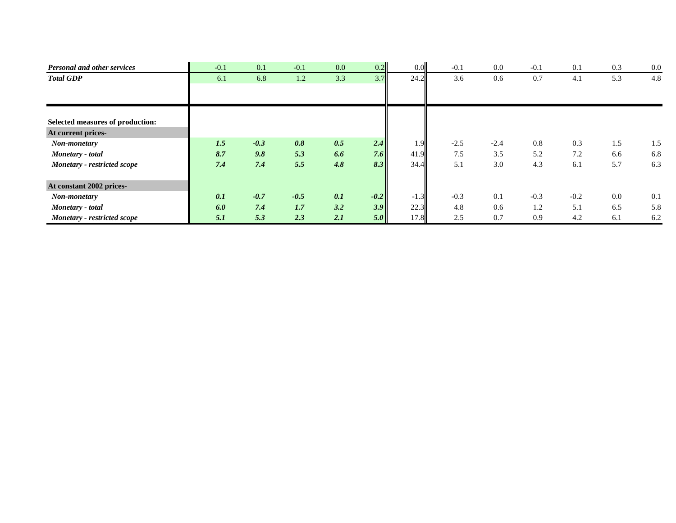| <b>Personal and other services</b> | $-0.1$ | 0.1    | $-0.1$ | 0.0 | 0.2    | 0.0    | $-0.1$ | 0.0    | $-0.1$ | 0.1    | 0.3 | 0.0 |
|------------------------------------|--------|--------|--------|-----|--------|--------|--------|--------|--------|--------|-----|-----|
| <b>Total GDP</b>                   | 6.1    | 6.8    | 1.2    | 3.3 | 3.7    | 24.2   | 3.6    | 0.6    | 0.7    | 4.1    | 5.3 | 4.8 |
|                                    |        |        |        |     |        |        |        |        |        |        |     |     |
|                                    |        |        |        |     |        |        |        |        |        |        |     |     |
| Selected measures of production:   |        |        |        |     |        |        |        |        |        |        |     |     |
| At current prices-                 |        |        |        |     |        |        |        |        |        |        |     |     |
| Non-monetary                       | 1.5    | $-0.3$ | 0.8    | 0.5 | 2.4    | 1.9    | $-2.5$ | $-2.4$ | 0.8    | 0.3    | 1.5 | 1.5 |
| Monetary - total                   | 8.7    | 9.8    | 5.3    | 6.6 | 7.6    | 41.9   | 7.5    | 3.5    | 5.2    | 7.2    | 6.6 | 6.8 |
| Monetary - restricted scope        | 7.4    | 7.4    | 5.5    | 4.8 | 8.3    | 34.4   | 5.1    | 3.0    | 4.3    | 6.1    | 5.7 | 6.3 |
|                                    |        |        |        |     |        |        |        |        |        |        |     |     |
| At constant 2002 prices-           |        |        |        |     |        |        |        |        |        |        |     |     |
| Non-monetary                       | 0.1    | $-0.7$ | $-0.5$ | 0.1 | $-0.2$ | $-1.3$ | $-0.3$ | 0.1    | $-0.3$ | $-0.2$ | 0.0 | 0.1 |
| Monetary - total                   | 6.0    | 7.4    | 1.7    | 3.2 | 3.9    | 22.3   | 4.8    | 0.6    | 1.2    | 5.1    | 6.5 | 5.8 |
| <b>Monetary - restricted scope</b> | 5.1    | 5.3    | 2.3    | 2.1 | 5.0    | 17.8   | 2.5    | 0.7    | 0.9    | 4.2    | 6.1 | 6.2 |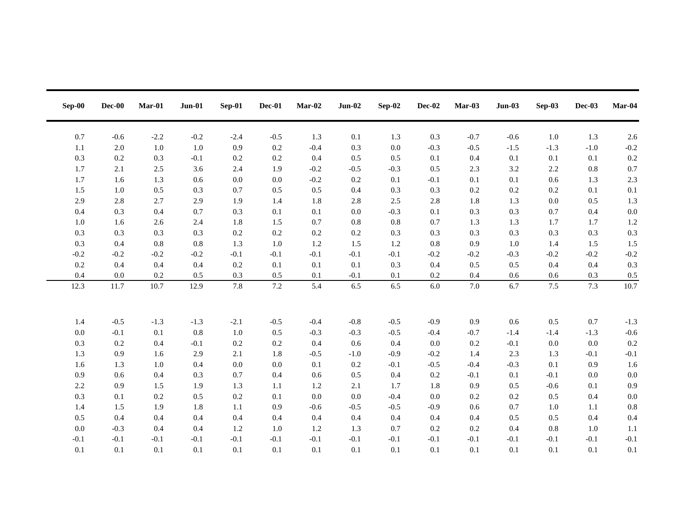| $Sep-00$ | $Dec-00$ | Mar-01  | $Jun-01$ | Sep-01  | Dec-01  | $Mar-02$ | $Jun-02$  | $Sep-02$ | Dec-02 | Mar-03  | $Jun-03$ | Sep-03  | Dec-03  | Mar-04 |
|----------|----------|---------|----------|---------|---------|----------|-----------|----------|--------|---------|----------|---------|---------|--------|
| 0.7      | $-0.6$   | $-2.2$  | $-0.2$   | $-2.4$  | $-0.5$  | 1.3      | 0.1       | 1.3      | 0.3    | $-0.7$  | $-0.6$   | $1.0\,$ | 1.3     | 2.6    |
| 1.1      | 2.0      | 1.0     | 1.0      | 0.9     | 0.2     | $-0.4$   | 0.3       | 0.0      | $-0.3$ | $-0.5$  | $-1.5$   | $-1.3$  | $-1.0$  | $-0.2$ |
| 0.3      | 0.2      | 0.3     | $-0.1$   | $0.2\,$ | 0.2     | 0.4      | 0.5       | 0.5      | 0.1    | 0.4     | 0.1      | 0.1     | 0.1     | 0.2    |
| 1.7      | 2.1      | 2.5     | 3.6      | 2.4     | 1.9     | $-0.2$   | $-0.5$    | $-0.3$   | 0.5    | 2.3     | 3.2      | 2.2     | 0.8     | 0.7    |
| 1.7      | 1.6      | 1.3     | 0.6      | $0.0\,$ | 0.0     | $-0.2$   | $0.2\,$   | 0.1      | $-0.1$ | $0.1\,$ | 0.1      | 0.6     | 1.3     | 2.3    |
| 1.5      | 1.0      | 0.5     | 0.3      | 0.7     | 0.5     | 0.5      | 0.4       | 0.3      | 0.3    | 0.2     | 0.2      | 0.2     | 0.1     | 0.1    |
| 2.9      | 2.8      | 2.7     | 2.9      | 1.9     | 1.4     | 1.8      | 2.8       | 2.5      | 2.8    | 1.8     | 1.3      | 0.0     | 0.5     | 1.3    |
| 0.4      | 0.3      | 0.4     | 0.7      | 0.3     | 0.1     | 0.1      | 0.0       | $-0.3$   | 0.1    | 0.3     | 0.3      | 0.7     | 0.4     | 0.0    |
| 1.0      | 1.6      | 2.6     | 2.4      | 1.8     | 1.5     | 0.7      | $\rm 0.8$ | 0.8      | 0.7    | 1.3     | 1.3      | 1.7     | 1.7     | 1.2    |
| 0.3      | 0.3      | 0.3     | 0.3      | $0.2\,$ | 0.2     | $0.2\,$  | $0.2\,$   | 0.3      | 0.3    | 0.3     | 0.3      | 0.3     | 0.3     | 0.3    |
| 0.3      | 0.4      | $0.8\,$ | $0.8\,$  | 1.3     | 1.0     | $1.2\,$  | 1.5       | $1.2\,$  | 0.8    | 0.9     | $1.0\,$  | 1.4     | 1.5     | 1.5    |
| $-0.2$   | $-0.2$   | $-0.2$  | $-0.2$   | $-0.1$  | $-0.1$  | $-0.1$   | $-0.1$    | $-0.1$   | $-0.2$ | $-0.2$  | $-0.3$   | $-0.2$  | $-0.2$  | $-0.2$ |
| 0.2      | 0.4      | 0.4     | 0.4      | $0.2\,$ | 0.1     | 0.1      | 0.1       | 0.3      | 0.4    | 0.5     | 0.5      | 0.4     | 0.4     | 0.3    |
| 0.4      | $0.0\,$  | 0.2     | 0.5      | 0.3     | 0.5     | 0.1      | $-0.1$    | 0.1      | 0.2    | 0.4     | 0.6      | 0.6     | 0.3     | 0.5    |
| 12.3     | 11.7     | 10.7    | 12.9     | 7.8     | $7.2\,$ | 5.4      | 6.5       | 6.5      | 6.0    | $7.0\,$ | 6.7      | $7.5$   | 7.3     | 10.7   |
|          |          |         |          |         |         |          |           |          |        |         |          |         |         |        |
|          |          |         |          |         |         |          |           |          |        |         |          |         |         |        |
| 1.4      | $-0.5$   | $-1.3$  | $-1.3$   | $-2.1$  | $-0.5$  | $-0.4$   | $-0.8$    | $-0.5$   | $-0.9$ | 0.9     | 0.6      | $0.5\,$ | 0.7     | $-1.3$ |
| 0.0      | $-0.1$   | 0.1     | 0.8      | 1.0     | 0.5     | $-0.3$   | $-0.3$    | $-0.5$   | $-0.4$ | $-0.7$  | $-1.4$   | $-1.4$  | $-1.3$  | $-0.6$ |
| 0.3      | 0.2      | 0.4     | $-0.1$   | $0.2\,$ | 0.2     | 0.4      | 0.6       | 0.4      | 0.0    | $0.2\,$ | $-0.1$   | 0.0     | $0.0\,$ | 0.2    |
| 1.3      | 0.9      | 1.6     | 2.9      | 2.1     | 1.8     | $-0.5$   | $-1.0$    | $-0.9$   | $-0.2$ | 1.4     | 2.3      | 1.3     | $-0.1$  | $-0.1$ |
| 1.6      | 1.3      | 1.0     | 0.4      | $0.0\,$ | 0.0     | 0.1      | $0.2\,$   | $-0.1$   | $-0.5$ | $-0.4$  | $-0.3$   | 0.1     | 0.9     | 1.6    |
| 0.9      | 0.6      | 0.4     | 0.3      | 0.7     | 0.4     | 0.6      | 0.5       | $0.4\,$  | 0.2    | $-0.1$  | 0.1      | $-0.1$  | $0.0\,$ | 0.0    |
| 2.2      | 0.9      | 1.5     | 1.9      | 1.3     | 1.1     | 1.2      | 2.1       | 1.7      | 1.8    | 0.9     | 0.5      | $-0.6$  | 0.1     | 0.9    |
| 0.3      | 0.1      | 0.2     | 0.5      | 0.2     | 0.1     | $0.0\,$  | 0.0       | $-0.4$   | 0.0    | 0.2     | 0.2      | 0.5     | 0.4     | 0.0    |
| 1.4      | 1.5      | 1.9     | 1.8      | 1.1     | 0.9     | $-0.6$   | $-0.5$    | $-0.5$   | $-0.9$ | 0.6     | 0.7      | 1.0     | 1.1     | 0.8    |
| $0.5\,$  | 0.4      | 0.4     | 0.4      | 0.4     | 0.4     | 0.4      | 0.4       | 0.4      | 0.4    | 0.4     | 0.5      | 0.5     | 0.4     | 0.4    |
| 0.0      | $-0.3$   | 0.4     | 0.4      | 1.2     | 1.0     | 1.2      | 1.3       | 0.7      | 0.2    | 0.2     | 0.4      | 0.8     | 1.0     | 1.1    |
| $-0.1$   | $-0.1$   | $-0.1$  | $-0.1$   | $-0.1$  | $-0.1$  | $-0.1$   | $-0.1$    | $-0.1$   | $-0.1$ | $-0.1$  | $-0.1$   | $-0.1$  | $-0.1$  | $-0.1$ |
| 0.1      | 0.1      | 0.1     | 0.1      | 0.1     | 0.1     | 0.1      | 0.1       | 0.1      | 0.1    | 0.1     | 0.1      | 0.1     | 0.1     | 0.1    |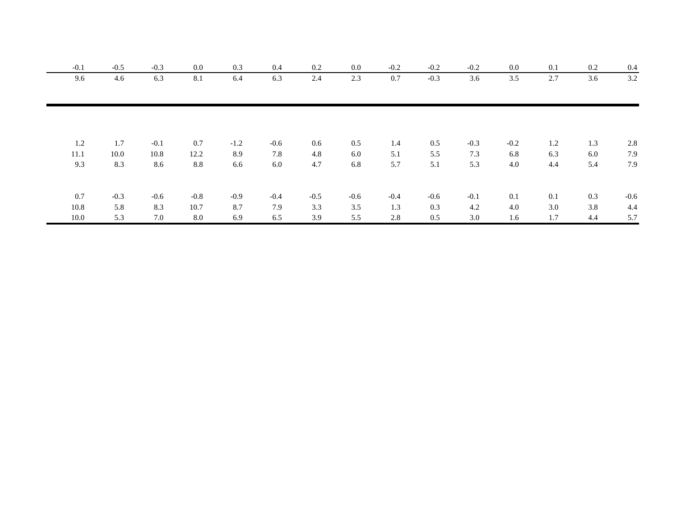| $-0.1$ | $-0.5$ | $-0.3$ | 0.0    | 0.3    | 0.4    | 0.2    | 0.0    | $-0.2$ | $-0.2$ | $-0.2$ | 0.0    | 0.1 | 0.2 | 0.4    |
|--------|--------|--------|--------|--------|--------|--------|--------|--------|--------|--------|--------|-----|-----|--------|
| 9.6    | 4.6    | 6.3    | 8.1    | 6.4    | 6.3    | 2.4    | 2.3    | 0.7    | $-0.3$ | 3.6    | 3.5    | 2.7 | 3.6 | 3.2    |
|        |        |        |        |        |        |        |        |        |        |        |        |     |     |        |
|        |        |        |        |        |        |        |        |        |        |        |        |     |     |        |
| 1.2    | 1.7    | $-0.1$ | 0.7    | $-1.2$ | $-0.6$ | 0.6    | 0.5    | 1.4    | 0.5    | $-0.3$ | $-0.2$ | 1.2 | 1.3 | 2.8    |
| 11.1   | 10.0   | 10.8   | 12.2   | 8.9    | 7.8    | 4.8    | 6.0    | 5.1    | 5.5    | 7.3    | 6.8    | 6.3 | 6.0 | 7.9    |
| 9.3    | 8.3    | 8.6    | 8.8    | 6.6    | 6.0    | 4.7    | 6.8    | 5.7    | 5.1    | 5.3    | 4.0    | 4.4 | 5.4 | 7.9    |
|        |        |        |        |        |        |        |        |        |        |        |        |     |     |        |
| 0.7    | $-0.3$ | $-0.6$ | $-0.8$ | $-0.9$ | $-0.4$ | $-0.5$ | $-0.6$ | $-0.4$ | $-0.6$ | $-0.1$ | 0.1    | 0.1 | 0.3 | $-0.6$ |
| 10.8   | 5.8    | 8.3    | 10.7   | 8.7    | 7.9    | 3.3    | 3.5    | 1.3    | 0.3    | 4.2    | 4.0    | 3.0 | 3.8 | 4.4    |
| 10.0   | 5.3    | 7.0    | 8.0    | 6.9    | 6.5    | 3.9    | 5.5    | 2.8    | 0.5    | 3.0    | 1.6    | 1.7 | 4.4 | 5.7    |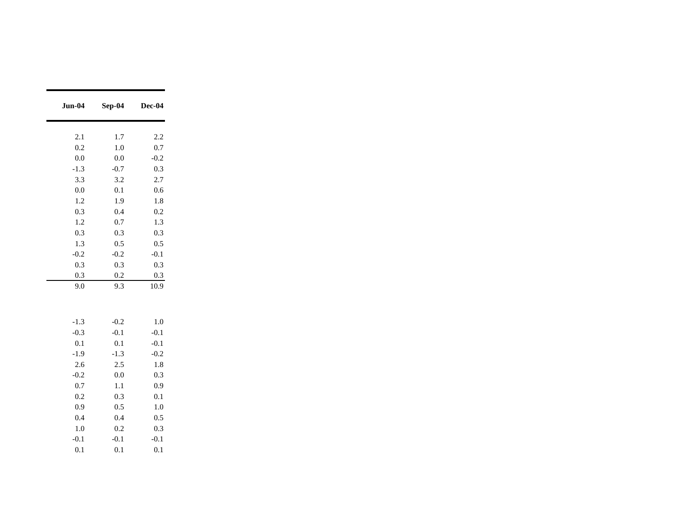| <b>Jun-04</b> | Sep-04 | Dec-04 |
|---------------|--------|--------|
|               |        |        |
| 2.1           | 1.7    | 2.2    |
| 0.2           | 1.0    | 0.7    |
| 0.0           | 0.0    | $-0.2$ |
| $-1.3$        | $-0.7$ | 0.3    |
| 3.3           | 3.2    | 2.7    |
| 0.0           | 0.1    | 0.6    |
| 1.2           | 1.9    | 1.8    |
| 0.3           | 0.4    | 0.2    |
| 1.2           | 0.7    | 1.3    |
| 0.3           | 0.3    | 0.3    |
| 1.3           | 0.5    | 0.5    |
| $-0.2$        | $-0.2$ | $-0.1$ |
| 0.3           | 0.3    | 0.3    |
| 0.3           | 0.2    | 0.3    |
| 9.0           | 9.3    | 10.9   |
|               |        |        |
|               |        |        |
| $-1.3$        | $-0.2$ | 1.0    |
| $-0.3$        | $-0.1$ | $-0.1$ |
| 0.1           | 0.1    | $-0.1$ |
| $-1.9$        | $-1.3$ | $-0.2$ |
| 2.6           | 2.5    | 1.8    |
| $-0.2$        | 0.0    | 0.3    |
| 0.7           | 1.1    | 0.9    |
| 0.2           | 0.3    | 0.1    |
| 0.9           | 0.5    | 1.0    |
| 0.4           | 0.4    | 0.5    |
| 1.0           | 0.2    | 0.3    |
| $-0.1$        | $-0.1$ | $-0.1$ |
| 0.1           | 0.1    | 0.1    |